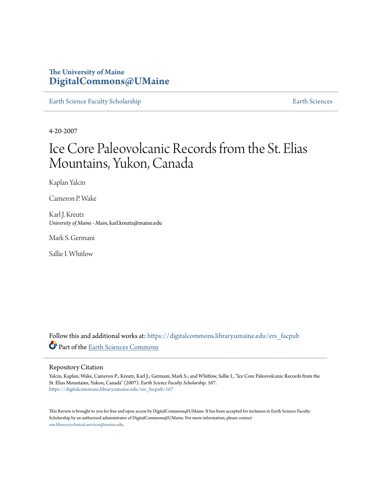# **The University of Maine [DigitalCommons@UMaine](https://digitalcommons.library.umaine.edu?utm_source=digitalcommons.library.umaine.edu%2Fers_facpub%2F167&utm_medium=PDF&utm_campaign=PDFCoverPages)**

[Earth Science Faculty Scholarship](https://digitalcommons.library.umaine.edu/ers_facpub?utm_source=digitalcommons.library.umaine.edu%2Fers_facpub%2F167&utm_medium=PDF&utm_campaign=PDFCoverPages) **[Earth Sciences](https://digitalcommons.library.umaine.edu/ers?utm_source=digitalcommons.library.umaine.edu%2Fers_facpub%2F167&utm_medium=PDF&utm_campaign=PDFCoverPages)** 

4-20-2007

# Ice Core Paleovolcanic Records from the St. Elias Mountains, Yukon, Canada

Kaplan Yalcin

Cameron P. Wake

Karl J. Kreutz *University of Maine - Main*, karl.kreutz@maine.edu

Mark S. Germani

Sallie I. Whitlow

Follow this and additional works at: [https://digitalcommons.library.umaine.edu/ers\\_facpub](https://digitalcommons.library.umaine.edu/ers_facpub?utm_source=digitalcommons.library.umaine.edu%2Fers_facpub%2F167&utm_medium=PDF&utm_campaign=PDFCoverPages) Part of the [Earth Sciences Commons](http://network.bepress.com/hgg/discipline/153?utm_source=digitalcommons.library.umaine.edu%2Fers_facpub%2F167&utm_medium=PDF&utm_campaign=PDFCoverPages)

# Repository Citation

Yalcin, Kaplan; Wake, Cameron P.; Kreutz, Karl J.; Germani, Mark S.; and Whitlow, Sallie I., "Ice Core Paleovolcanic Records from the St. Elias Mountains, Yukon, Canada" (2007). *Earth Science Faculty Scholarship*. 167. [https://digitalcommons.library.umaine.edu/ers\\_facpub/167](https://digitalcommons.library.umaine.edu/ers_facpub/167?utm_source=digitalcommons.library.umaine.edu%2Fers_facpub%2F167&utm_medium=PDF&utm_campaign=PDFCoverPages)

This Review is brought to you for free and open access by DigitalCommons@UMaine. It has been accepted for inclusion in Earth Science Faculty Scholarship by an authorized administrator of DigitalCommons@UMaine. For more information, please contact [um.library.technical.services@maine.edu](mailto:um.library.technical.services@maine.edu).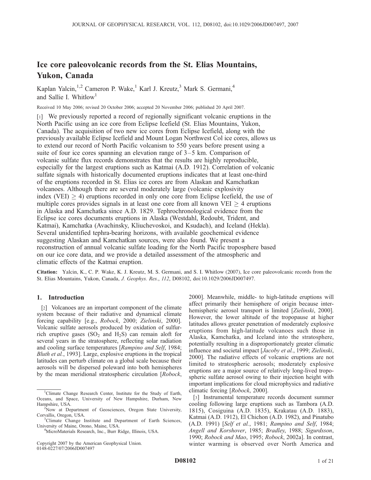# Ice core paleovolcanic records from the St. Elias Mountains, Yukon, Canada

Kaplan Yalcin,<sup>1,2</sup> Cameron P. Wake,<sup>1</sup> Karl J. Kreutz,<sup>3</sup> Mark S. Germani,<sup>4</sup> and Sallie I. Whitlow<sup>1</sup>

Received 10 May 2006; revised 20 October 2006; accepted 20 November 2006; published 20 April 2007.

[1] We previously reported a record of regionally significant volcanic eruptions in the North Pacific using an ice core from Eclipse Icefield (St. Elias Mountains, Yukon, Canada). The acquisition of two new ice cores from Eclipse Icefield, along with the previously available Eclipse Icefield and Mount Logan Northwest Col ice cores, allows us to extend our record of North Pacific volcanism to 550 years before present using a suite of four ice cores spanning an elevation range of 3–5 km. Comparison of volcanic sulfate flux records demonstrates that the results are highly reproducible, especially for the largest eruptions such as Katmai (A.D. 1912). Correlation of volcanic sulfate signals with historically documented eruptions indicates that at least one-third of the eruptions recorded in St. Elias ice cores are from Alaskan and Kamchatkan volcanoes. Although there are several moderately large (volcanic explosivity index (VEI)  $>$  4) eruptions recorded in only one core from Eclipse Icefield, the use of multiple cores provides signals in at least one core from all known  $VEI > 4$  eruptions in Alaska and Kamchatka since A.D. 1829. Tephrochronological evidence from the Eclipse ice cores documents eruptions in Alaska (Westdahl, Redoubt, Trident, and Katmai), Kamchatka (Avachinsky, Kliuchevoskoi, and Ksudach), and Iceland (Hekla). Several unidentified tephra-bearing horizons, with available geochemical evidence suggesting Alaskan and Kamchatkan sources, were also found. We present a reconstruction of annual volcanic sulfate loading for the North Pacific troposphere based on our ice core data, and we provide a detailed assessment of the atmospheric and climatic effects of the Katmai eruption.

Citation: Yalcin, K., C. P. Wake, K. J. Kreutz, M. S. Germani, and S. I. Whitlow (2007), Ice core paleovolcanic records from the St. Elias Mountains, Yukon, Canada, J. Geophys. Res., 112, D08102, doi:10.1029/2006JD007497.

# 1. Introduction

[2] Volcanoes are an important component of the climate system because of their radiative and dynamical climate forcing capability [e.g., Robock, 2000; Zielinski, 2000]. Volcanic sulfate aerosols produced by oxidation of sulfurrich eruptive gases  $(SO<sub>2</sub>)$  and  $H<sub>2</sub>S$ ) can remain aloft for several years in the stratosphere, reflecting solar radiation and cooling surface temperatures [Rampino and Self, 1984; Bluth et al., 1993]. Large, explosive eruptions in the tropical latitudes can perturb climate on a global scale because their aerosols will be dispersed poleward into both hemispheres by the mean meridional stratospheric circulation [Robock,

Copyright 2007 by the American Geophysical Union. 0148-0227/07/2006JD007497

2000]. Meanwhile, middle- to high-latitude eruptions will affect primarily their hemisphere of origin because interhemispheric aerosol transport is limited [Zielinski, 2000]. However, the lower altitude of the tropopause at higher latitudes allows greater penetration of moderately explosive eruptions from high-latitude volcanoes such those in Alaska, Kamchatka, and Iceland into the stratosphere, potentially resulting in a disproportionately greater climatic influence and societal impact [Jacoby et al., 1999; Zielinski, 2000]. The radiative effects of volcanic eruptions are not limited to stratospheric aerosols; moderately explosive eruptions are a major source of relatively long-lived tropospheric sulfate aerosol owing to their injection height with important implications for cloud microphysics and radiative climatic forcing [Robock, 2000].

[3] Instrumental temperature records document summer cooling following large eruptions such as Tambora (A.D. 1815), Cosiguina (A.D. 1835), Krakatau (A.D. 1883), Katmai (A.D. 1912), El Chichon (A.D. 1982), and Pinatubo (A.D. 1991) [Self et al., 1981; Rampino and Self, 1984; Angell and Korshover, 1985; Bradley, 1988; Sigurdsson, 1990; Robock and Mao, 1995; Robock, 2002a]. In contrast, winter warming is observed over North America and

<sup>&</sup>lt;sup>1</sup>Climate Change Research Center, Institute for the Study of Earth, Oceans, and Space, University of New Hampshire, Durham, New Hampshire, USA. <sup>2</sup>

<sup>&</sup>lt;sup>2</sup>Now at Department of Geosciences, Oregon State University, Corvallis, Oregon, USA.

<sup>&</sup>lt;sup>3</sup>Climate Change Institute and Department of Earth Sciences, University of Maine, Orono, Maine, USA. <sup>4</sup>

<sup>&</sup>lt;sup>4</sup>MicroMaterials Research, Inc., Burr Ridge, Illinois, USA.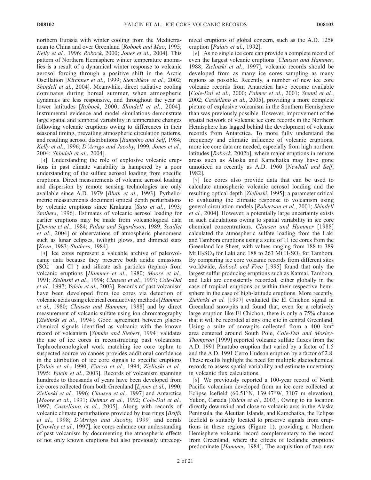northern Eurasia with winter cooling from the Mediterranean to China and over Greenland [Robock and Mao, 1995; Kelly et al., 1996; Robock, 2000; Jones et al., 2004]. This pattern of Northern Hemisphere winter temperature anomalies is a result of a dynamical winter response to volcanic aerosol forcing through a positive shift in the Arctic Oscillation [Kirchner et al., 1999; Stenchikov et al., 2002; Shindell et al., 2004]. Meanwhile, direct radiative cooling dominates during boreal summer, when atmospheric dynamics are less responsive, and throughout the year at lower latitudes [Robock, 2000; Shindell et al., 2004]. Instrumental evidence and model simulations demonstrate large spatial and temporal variability in temperature changes following volcanic eruptions owing to differences in their seasonal timing, prevailing atmospheric circulation patterns, and resulting aerosol distributions [Rampino and Self, 1984; Kelly et al., 1996; D'Arrigo and Jacoby, 1999; Jones et al., 2004; Shindell et al., 2004].

[4] Understanding the role of explosive volcanic eruptions in past climate variability is hampered by a poor understanding of the sulfate aerosol loading from specific eruptions. Direct measurements of volcanic aerosol loading and dispersion by remote sensing technologies are only available since A.D. 1979 [Bluth et al., 1993]. Pyrheliometric measurements document optical depth perturbations by volcanic eruptions since Krakatau [Sato et al., 1993; Stothers, 1996]. Estimates of volcanic aerosol loading for earlier eruptions may be made from volcanological data [Devine et al., 1984; Palais and Sigurdsson, 1989; Scaillet et al., 2004] or observations of atmospheric phenomena such as lunar eclipses, twilight glows, and dimmed stars [Keen, 1983; Stothers, 1984].

[5] Ice cores represent a valuable archive of paleovolcanic data because they preserve both acidic emissions  $(SO<sub>4</sub><sup>2-</sup>$  and  $Cl<sup>-</sup>$ ) and silicate ash particles (tephra) from volcanic eruptions [Hammer et al., 1980; Moore et al., 1991; Zielinski et al., 1994; Clausen et al., 1997; Cole-Dai et al., 1997; Yalcin et al., 2003]. Records of past volcanism have been developed from ice cores via detection of volcanic acids using electrical conductivity methods [Hammer et al., 1980; Clausen and Hammer, 1988] and by direct measurement of volcanic sulfate using ion chromatography [Zielinski et al., 1994]. Good agreement between glaciochemical signals identified as volcanic with the known record of volcanism [Simkin and Siebert, 1994] validates the use of ice cores in reconstructing past volcanism. Tephrochronological work matching ice core tephra to suspected source volcanoes provides additional confidence in the attribution of ice core signals to specific eruptions [Palais et al., 1990; Fiacco et al., 1994; Zielinski et al., 1995; Yalcin et al., 2003]. Records of volcanism spanning hundreds to thousands of years have been developed from ice cores collected from both Greenland [Lyons et al., 1990; Zielinski et al., 1996; Clausen et al., 1997] and Antarctica [Moore et al., 1991; Delmas et al., 1992; Cole-Dai et al., 1997; Castellano et al., 2005]. Along with records of volcanic climate perturbations provided by tree rings [Briffa] et al., 1998; D'Arrigo and Jacoby, 1999] and corals [*Crowley et al.*, 1997], ice cores enhance our understanding of past volcanism by documenting the atmospheric effects of not only known eruptions but also previously unrecognized eruptions of global concern, such as the A.D. 1258 eruption [Palais et al., 1992].

[6] As no single ice core can provide a complete record of even the largest volcanic eruptions [Clausen and Hammer, 1988; Zielinski et al., 1997], volcanic records should be developed from as many ice cores sampling as many regions as possible. Recently, a number of new ice core volcanic records from Antarctica have become available [Cole-Dai et al., 2000; Palmer et al., 2001; Stenni et al., 2002; Castellano et al., 2005], providing a more complete picture of explosive volcanism in the Southern Hemisphere than was previously possible. However, improvement of the spatial network of volcanic ice core records in the Northern Hemisphere has lagged behind the development of volcanic records from Antarctica. To more fully understand the frequency and climatic influence of volcanic eruptions, more ice core data are needed, especially from high northern latitudes [Robock, 2002b], where major eruptions in remote areas such as Alaska and Kamchatka may have gone unnoticed as recently as A.D. 1960 [Newhall and Self, 1982].

[7] Ice cores also provide data that can be used to calculate atmospheric volcanic aerosol loading and the resulting optical depth [Zielinski, 1995]; a parameter critical to evaluating the climatic response to volcanism using general circulation models [Robertson et al., 2001; Shindell et al., 2004]. However, a potentially large uncertainty exists in such calculations owing to spatial variability in ice core chemical concentrations. Clausen and Hammer [1988] calculated the atmospheric sulfate loading from the Laki and Tambora eruptions using a suite of 11 ice cores from the Greenland Ice Sheet, with values ranging from 188 to 389 Mt  $H_2SO_4$  for Laki and 188 to 263 Mt  $H_2SO_4$  for Tambora. By comparing ice core volcanic records from different sites worldwide, Robock and Free [1995] found that only the largest sulfur producing eruptions such as Katmai, Tambora, and Laki are consistently recorded, either globally in the case of tropical eruptions or within their respective hemisphere in the case of high-latitude eruptions. More recently, Zielinski et al. [1997] evaluated the El Chichon signal in Greenland snowpits and found that, even for a relatively large eruption like El Chichon, there is only a 75% chance that it will be recorded at any one site in central Greenland. Using a suite of snowpits collected from a 400  $km^2$ area centered around South Pole, Cole-Dai and Mosley-Thompson [1999] reported volcanic sulfate fluxes from the A.D. 1991 Pinatubo eruption that varied by a factor of 1.5 and the A.D. 1991 Cerro Hudson eruption by a factor of 2.8. These results highlight the need for multiple glaciochemical records to assess spatial variability and estimate uncertainty in volcanic flux calculations.

[8] We previously reported a 100-year record of North Pacific volcanism developed from an ice core collected at Eclipse Icefield  $(60.51^{\circ}N, 139.47^{\circ}W, 3107 \text{ m}$  elevation), Yukon, Canada [Yalcin et al., 2003]. Owing to its location directly downwind and close to volcanic arcs in the Alaska Peninsula, the Aleutian Islands, and Kamchatka, the Eclipse Icefield is suitably located to preserve signals from eruptions in these regions (Figure 1), providing a Northern Hemisphere volcanic record complementary to the record from Greenland, where the effects of Icelandic eruptions predominate [Hammer, 1984]. The acquisition of two new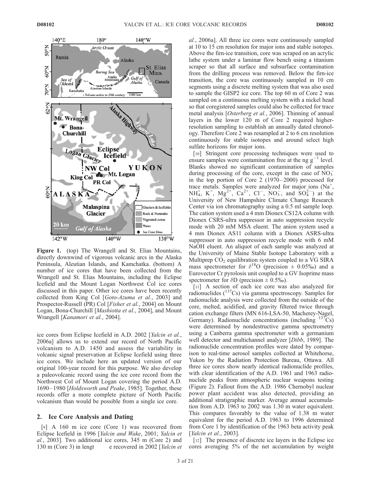

Figure 1. (top) The Wrangell and St. Elias Mountains, directly downwind of vigorous volcanic arcs in the Alaska Peninsula, Aleutian Islands, and Kamchatka. (bottom) A number of ice cores that have been collected from the Wrangell and St. Elias Mountains, including the Eclipse Icefield and the Mount Logan Northwest Col ice cores discussed in this paper. Other ice cores have been recently collected from King Col [Goto-Azuma et al., 2003] and Prospector-Russell (PR) Col [Fisher et al., 2004] on Mount Logan, Bona-Churchill [Mashiotta et al., 2004], and Mount Wrangell [Kanamori et al., 2004].

ice cores from Eclipse Icefield in A.D. 2002 [Yalcin et al., 2006a] allows us to extend our record of North Pacific volcanism to A.D. 1450 and assess the variability in volcanic signal preservation at Eclipse Icefield using three ice cores. We include here an updated version of our original 100-year record for this purpose. We also develop a paleovolcanic record using the ice core record from the Northwest Col of Mount Logan covering the period A.D. 1690 – 1980 [Holdsworth and Peake, 1985]. Together, these records offer a more complete picture of North Pacific volcanism than would be possible from a single ice core.

#### 2. Ice Core Analysis and Dating

[9] A 160 m ice core (Core 1) was recovered from Eclipse Icefield in 1996 [Yalcin and Wake, 2001; Yalcin et al., 2003]. Two additional ice cores, 345 m (Core 2) and 130 m (Core 3) in lengt e recovered in 2002 [Yalcin et al., 2006a]. All three ice cores were continuously sampled at 10 to 15 cm resolution for major ions and stable isotopes. Above the firn-ice transition, core was scraped on an acrylic lathe system under a laminar flow bench using a titanium scraper so that all surface and subsurface contamination from the drilling process was removed. Below the firn-ice transition, the core was continuously sampled in 10 cm segments using a discrete melting system that was also used to sample the GISP2 ice core. The top 60 m of Core 2 was sampled on a continuous melting system with a nickel head so that coregistered samples could also be collected for trace metal analysis [Osterberg et al., 2006]. Thinning of annual layers in the lower 120 m of Core 2 required higherresolution sampling to establish an annually dated chronology. Therefore Core 2 was resampled at 2 to 6 cm resolution continuously for stable isotopes and around select high sulfate horizons for major ions.

[10] Stringent core processing techniques were used to ensure samples were contamination free at the ng  $g^{-1}$  level. Blanks showed no significant contamination of samples during processing of the core, except in the case of  $\overline{NO_3^-}$ in the top portion of Core 2 (1970– 2000) processed for trace metals. Samples were analyzed for major ions  $(Na^+)$ NH<sup>+</sup><sub>4</sub>, K<sup>+</sup>, Mg<sup>2+</sup>, Ca<sup>2+</sup>, Cl<sup>-</sup>, NO<sub>3</sub>, and SO<sub>4</sub><sup>-</sup>) at the University of New Hampshire Climate Change Research Center via ion chromatography using a 0.5 ml sample loop. The cation system used a 4 mm Dionex CS12A column with Dionex CSRS-ultra suppressor in auto suppression recycle mode with 20 mM MSA eluent. The anion system used a 4 mm Dionex AS11 column with a Dionex ASRS-ultra suppressor in auto suppression recycle mode with 6 mM NaOH eluent. An aliquot of each sample was analyzed at the University of Maine Stable Isotope Laboratory with a Multiprep  $CO<sub>2</sub>$  equilibration system coupled to a VG SIRA mass spectrometer for  $\delta^{18}$ O (precision  $\pm$  0.05%) and a Eurovector Cr pyrolosis unit coupled to a GV Isoprime mass spectrometer for  $\delta D$  (precision  $\pm 0.5\%$ ).

[11] A section of each ice core was also analyzed for radionuclides  $(^{137}Cs)$  via gamma spectroscopy. Samples for radionuclide analysis were collected from the outside of the core, melted, acidified, and gravity filtered twice through cation exchange filters (MN 616-LSA-50, Macherey-Nagel, Germany). Radionuclide concentrations (including  $137Cs$ ) were determined by nondestructive gamma spectrometry using a Canberra gamma spectrometer with a germanium well detector and multichannel analyzer [Dibb, 1989]. The radionuclide concentration profiles were dated by comparison to real-time aerosol samples collected at Whitehorse, Yukon by the Radiation Protection Bureau, Ottawa. All three ice cores show nearly identical radionuclide profiles, with clear identification of the A.D. 1961 and 1963 radionuclide peaks from atmospheric nuclear weapons testing (Figure 2). Fallout from the A.D. 1986 Chernobyl nuclear power plant accident was also detected, providing an additional stratigraphic marker. Average annual accumulation from A.D. 1963 to 2002 was 1.30 m water equivalent. This compares favorably to the value of 1.38 m water equivalent for the period A.D. 1963 to 1996 determined from Core 1 by identification of the 1963 beta activity peak [*Yalcin et al.*, 2003].

[12] The presence of discrete ice layers in the Eclipse ice cores averaging 5% of the net accumulation by weight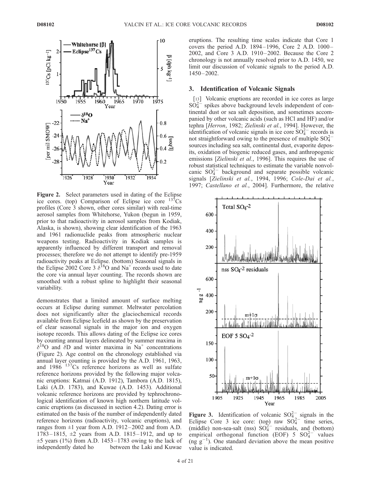

Figure 2. Select parameters used in dating of the Eclipse ice cores. (top) Comparison of Eclipse ice core  $137Cs$ profiles (Core 3 shown, other cores similar) with real-time aerosol samples from Whitehorse, Yukon (begun in 1959, prior to that radioactivity in aerosol samples from Kodiak, Alaska, is shown), showing clear identification of the 1963 and 1961 radionuclide peaks from atmospheric nuclear weapons testing. Radioactivity in Kodiak samples is apparently influenced by different transport and removal processes; therefore we do not attempt to identify pre-1959 radioactivity peaks at Eclipse. (bottom) Seasonal signals in the Eclipse 2002 Core 3  $\delta^{18}$ O and Na<sup>+</sup> records used to date the core via annual layer counting. The records shown are smoothed with a robust spline to highlight their seasonal variability.

demonstrates that a limited amount of surface melting occurs at Eclipse during summer. Meltwater percolation does not significantly alter the glaciochemical records available from Eclipse Icefield as shown by the preservation of clear seasonal signals in the major ion and oxygen isotope records. This allows dating of the Eclipse ice cores by counting annual layers delineated by summer maxima in  $\delta^{18}$ O and  $\delta$ D and winter maxima in Na<sup>+</sup> concentrations (Figure 2). Age control on the chronology established via annual layer counting is provided by the A.D. 1961, 1963, and 1986 137Cs reference horizons as well as sulfate reference horizons provided by the following major volcanic eruptions: Katmai (A.D. 1912), Tambora (A.D. 1815), Laki (A.D. 1783), and Kuwae (A.D. 1453). Additional volcanic reference horizons are provided by tephrochronological identification of known high northern latitude volcanic eruptions (as discussed in section 4.2). Dating error is estimated on the basis of the number of independently dated reference horizons (radioactivity, volcanic eruptions), and ranges from  $\pm 1$  year from A.D. 1912–2002 and from A.D. 1783 – 1815, ±2 years from A.D. 1815– 1912, and up to  $\pm$ 5 years (1%) from A.D. 1453–1783 owing to the lack of independently dated ho between the Laki and Kuwae

eruptions. The resulting time scales indicate that Core 1 covers the period A.D. 1894 – 1996, Core 2 A.D. 1000– 2002, and Core 3 A.D. 1910– 2002. Because the Core 2 chronology is not annually resolved prior to A.D. 1450, we limit our discussion of volcanic signals to the period A.D. 1450– 2002.

# 3. Identification of Volcanic Signals

[13] Volcanic eruptions are recorded in ice cores as large  $SO_4^{2-}$  spikes above background levels independent of continental dust or sea salt deposition, and sometimes accompanied by other volcanic acids (such as HCl and HF) and/or tephra [Herron, 1982; Zielinski et al., 1994]. However, the identification of volcanic signals in ice core  $SO_4^{2-}$  records is not straightforward owing to the presence of multiple  $SO_4^{2-}$ sources including sea salt, continental dust, evaporite deposits, oxidation of biogenic reduced gases, and anthropogenic emissions [Zielinski et al., 1996]. This requires the use of robust statistical techniques to estimate the variable nonvolcanic  $SO_4^{2-}$  background and separate possible volcanic signals [Zielinski et al., 1994, 1996; Cole-Dai et al., 1997; Castellano et al., 2004]. Furthermore, the relative



Figure 3. Identification of volcanic  $SO_{4}^{2-}$  signals in the Eclipse Core 3 ice core: (top) raw  $SO_4^{2-}$  time series, (middle) non-sea-salt (nss)  $SO_4^{2-}$  residuals, and (bottom) empirical orthogonal function (EOF)  $5^{6}$  SO $_{4}^{2-}$  values  $(\text{ng } g^{-1})$ . One standard deviation above the mean positive value is indicated.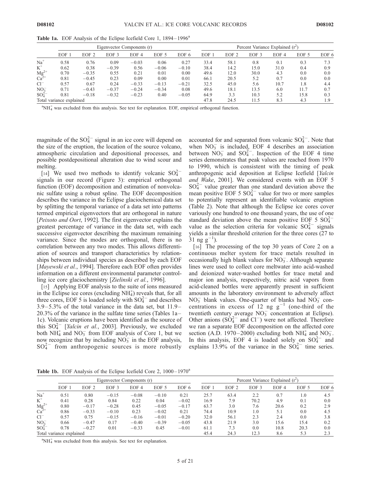|                              |                          |                  |         | Eigenvector Components (r) |         |         |      |                  |                  | Percent Variance Explained $(r^2)$<br>EOF 6<br>EOF <sub>4</sub><br>EOF 5<br>0.3<br>0.1<br>31.0<br>0.9<br>0.4<br>4.3<br>0.0<br>0.0<br>0.7<br>0.0<br>0.0<br>10.7<br>1.8<br>4.4<br>11.7<br>0.7<br>6.0 |      |     |  |  |  |
|------------------------------|--------------------------|------------------|---------|----------------------------|---------|---------|------|------------------|------------------|----------------------------------------------------------------------------------------------------------------------------------------------------------------------------------------------------|------|-----|--|--|--|
|                              | EOF                      | EOF <sub>2</sub> | EOF 3   | EOF 4                      | EOF 5   | EOF 6   | EOF  | EOF <sub>2</sub> | EOF <sub>3</sub> |                                                                                                                                                                                                    |      |     |  |  |  |
| $Na+$                        | 0.58                     | 0.76             | 0.09    | $-0.03$                    | 0.06    | 0.27    | 33.4 | 58.1             | 0.8              |                                                                                                                                                                                                    |      |     |  |  |  |
| $K^+$                        | 0.62                     | 0.38             | $-0.39$ | 0.56                       | $-0.06$ | $-0.10$ | 38.4 | 14.2             | 15.0             |                                                                                                                                                                                                    |      |     |  |  |  |
| ${Mg}^{2+}_{Ca}$             | 0.70                     | $-0.35$          | 0.55    | 0.21                       | 0.01    | 0.00    | 49.6 | 12.0             | 30.0             |                                                                                                                                                                                                    |      |     |  |  |  |
|                              | 0.81                     | $-0.45$          | 0.23    | 0.09                       | 0.00    | 0.01    | 66.1 | 20.5             | 5.2              |                                                                                                                                                                                                    |      |     |  |  |  |
| $Cl^{-}$                     | 0.57                     | 0.67             | 0.24    | $-0.33$                    | $-0.13$ | $-0.21$ | 32.5 | 45.0             | 5.6              |                                                                                                                                                                                                    |      |     |  |  |  |
| NO <sub>3</sub>              | 0.71                     | $-0.43$          | $-0.37$ | $-0.24$                    | $-0.34$ | 0.08    | 49.6 | 18.1             | 13.5             |                                                                                                                                                                                                    |      |     |  |  |  |
| SO <sub>4</sub> <sup>2</sup> | 0.81                     | $-0.18$          | $-0.32$ | $-0.23$                    | 0.40    | $-0.05$ | 64.9 | 3.3              | 10.3             | 5.2                                                                                                                                                                                                | 15.8 | 0.3 |  |  |  |
|                              | Total variance explained |                  |         |                            |         |         | 47.8 | 24.5             | 11.5             | 8.3                                                                                                                                                                                                | 4.3  | .9  |  |  |  |

Table 1a. EOF Analysis of the Eclipse Icefield Core 1, 1894–1996<sup>a</sup>

<sup>a</sup>NH<sup>+</sup><sub>4</sub> was excluded from this analysis. See text for explanation. EOF, empirical orthogonal function.

magnitude of the  $SO_4^{2-}$  signal in an ice core will depend on the size of the eruption, the location of the source volcano, atmospheric circulation and depositional processes, and possible postdepositional alteration due to wind scour and melting.

[14] We used two methods to identify volcanic  $SO_4^{2-}$ signals in our record (Figure 3): empirical orthogonal function (EOF) decomposition and estimation of nonvolcanic sulfate using a robust spline. The EOF decomposition describes the variance in the Eclipse glaciochemical data set by splitting the temporal variance of a data set into patterns termed empirical eigenvectors that are orthogonal in nature [Peixoto and Oort, 1992]. The first eigenvector explains the greatest percentage of variance in the data set, with each successive eigenvector describing the maximum remaining variance. Since the modes are orthogonal, there is no correlation between any two modes. This allows differentiation of sources and transport characteristics by relationships between individual species as described by each EOF [Mayewski et al., 1994]. Therefore each EOF often provides information on a different environmental parameter controlling ice core glaciochemistry [Zielinski et al., 1996].

[15] Applying EOF analysis to the suite of ions measured in the Eclipse ice cores (excluding  $NH<sub>4</sub>$ ) reveals that, for all three cores, EOF 5 is loaded solely with  $SO_4^{2-}$  and describes  $3.9 - 5.3\%$  of the total variance in the data set, but  $11.9 -$ 20.3% of the variance in the sulfate time series (Tables 1a – 1c). Volcanic eruptions have been identified as the source of this  $SO_4^{2-}$  [*Yalcin et al.*, 2003]. Previously, we excluded both  $NH_4^+$  and  $NO_3^-$  from EOF analysis of Core 1, but we now recognize that by including  $NO<sub>3</sub><sup>-</sup>$  in the EOF analysis,  $SO_4^{2-}$  from anthropogenic sources is more robustly

accounted for and separated from volcanic  $SO_4^{2-}$ . Note that when  $NO<sub>3</sub><sup>-</sup>$  is included, EOF 4 describes an association between  $NO_3^-$  and  $SO_4^{2-}$ . Inspection of the EOF 4 time series demonstrates that peak values are reached from 1970 to 1990, which is consistent with the timing of peak anthropogenic acid deposition at Eclipse Icefield [Yalcin and Wake, 2001]. We considered events with an EOF 5  $SO_4^{2-}$  value greater than one standard deviation above the mean positive EOF 5  $SO_4^{2-}$  value for two or more samples to potentially represent an identifiable volcanic eruption (Table 2). Note that although the Eclipse ice cores cover variously one hundred to one thousand years, the use of one standard deviation above the mean positive EOF 5  $SO_4^{2-}$ value as the selection criteria for volcanic  $SO_4^{2-}$  signals yields a similar threshold criterion for the three cores (27 to  $31 \text{ ng g}^{-1}$ ).

[16] The processing of the top 30 years of Core 2 on a continuous melter system for trace metals resulted in occasionally high blank values for  $NO_3^-$ . Although separate lines were used to collect core meltwater into acid-washed and deionized water-washed bottles for trace metal and major ion analysis, respectively, nitric acid vapors from acid-cleaned bottles were apparently present in sufficient amounts in the laboratory environment to adversely affect  $NO<sub>3</sub><sup>-</sup>$  blank values. One-quarter of blanks had  $NO<sub>3</sub><sup>-</sup>$  concentrations in excess of 12 ng  $g^{-1}$  (one-third of the twentieth century average  $NO<sub>3</sub><sup>-</sup>$  concentration at Eclipse). Other anions  $(SO_4^{2-}$  and  $Cl^-)$  were not affected. Therefore we ran a separate EOF decomposition on the affected core section (A.D. 1970–2000) excluding both NH<sub>4</sub> and NO<sub>3</sub>. In this analysis, EOF 4 is loaded solely on  $SO_4^{2-}$  and explains 13.9% of the variance in the  $SO_4^{2-}$  time series.

**Table 1b.** EOF Analysis of the Eclipse Icefield Core 2,  $1000-1970^a$ 

|                                                                                                                   |                          |                  |                  | Eigenvector Components (r) |         |         |      |                  |                  | Percent Variance Explained $(r^2)$<br>EOF <sub>6</sub><br>EOF <sub>4</sub><br>EOF 5<br>2.2<br>0.7<br>4.5<br>1.0<br>4.9<br>0.1<br>0.0<br>20.6<br>2.9<br>7.6<br>0.2<br>0.0<br>1.0<br>4.5<br>5.1 |      |     |  |  |
|-------------------------------------------------------------------------------------------------------------------|--------------------------|------------------|------------------|----------------------------|---------|---------|------|------------------|------------------|-----------------------------------------------------------------------------------------------------------------------------------------------------------------------------------------------|------|-----|--|--|
|                                                                                                                   | EOF 1                    | EOF <sub>2</sub> | EOF <sub>3</sub> | EOF 4                      | EOF 5   | EOF 6   | EOF  | EOF <sub>2</sub> | EOF <sub>3</sub> |                                                                                                                                                                                               |      |     |  |  |
| $Na+$                                                                                                             | 0.51                     | 0.80             | $-0.15$          | $-0.08$                    | $-0.10$ | 0.21    | 25.7 | 63.4             |                  |                                                                                                                                                                                               |      |     |  |  |
| $K^+$                                                                                                             | 0.41                     | 0.28             | 0.84             | 0.22                       | 0.04    | $-0.02$ | 16.9 | 7.9              | 70.2             |                                                                                                                                                                                               |      |     |  |  |
| $\mathop{\rm Mg^{2+}}\limits^{\hspace{-0.1em}Q+} \hspace{-0.2em} \mathop{\rm Ca^{2+}}\limits^{\hspace{-0.2em}Q+}$ | 0.80                     | $-0.17$          | $-0.28$          | 0.45                       | $-0.05$ | $-0.17$ | 63.7 | 3.0              |                  |                                                                                                                                                                                               |      |     |  |  |
|                                                                                                                   | 0.86                     | $-0.33$          | $-0.10$          | 0.23                       | $-0.02$ | 0.21    | 74.4 | 10.9             |                  |                                                                                                                                                                                               |      |     |  |  |
| $Cl^{-}$                                                                                                          | 0.57                     | 0.75             | $-0.15$          | $-0.16$                    | $-0.01$ | $-0.20$ | 32.0 | 56.1             | 2.3              | 2.4                                                                                                                                                                                           | 0.0  | 3.8 |  |  |
| NO <sub>3</sub>                                                                                                   | 0.66                     | $-0.47$          | 0.17             | $-0.40$                    | $-0.39$ | $-0.05$ | 43.8 | 21.9             | 3.0              | 15.6                                                                                                                                                                                          | 15.4 | 0.2 |  |  |
| SO <sub>4</sub> <sup>2</sup>                                                                                      | 0.78                     | $-0.27$          | 0.01             | $-0.33$                    | 0.45    | $-0.01$ | 61.1 | 7.3              | 0.0              | 10.8                                                                                                                                                                                          | 20.3 | 0.0 |  |  |
|                                                                                                                   | Total variance explained |                  |                  |                            |         |         | 45.4 | 24.3             | 12.3             | 8.6                                                                                                                                                                                           | 5.3  | 2.3 |  |  |

 ${}^{\text{a}}NH_4^+$  was excluded from this analysis. See text for explanation.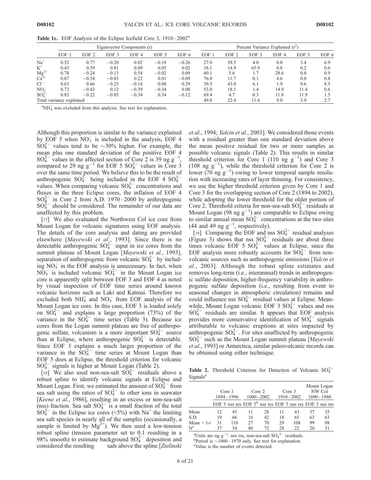|                               |                          |                  |                  | Eigenvector Components (r) |         |         |      |                  |                  | Percent Variance Explained $(r^2)$<br>EOF 6<br>EOF <sub>4</sub><br>EOF 5<br>3.4<br>0.0<br>6.9<br>0.8<br>0.0<br>0.2<br>28.6<br>0.0<br>0.9<br>0.0<br>0.8<br>4.6<br>8.5<br>1.9<br>0.6<br>14.9<br>11.4<br>0.6 |      |     |  |  |
|-------------------------------|--------------------------|------------------|------------------|----------------------------|---------|---------|------|------------------|------------------|-----------------------------------------------------------------------------------------------------------------------------------------------------------------------------------------------------------|------|-----|--|--|
|                               | EOF                      | EOF <sub>2</sub> | EOF <sub>3</sub> | EOF <sub>4</sub>           | EOF 5   | EOF 6   | EOF  | EOF <sub>2</sub> | EOF <sub>3</sub> |                                                                                                                                                                                                           |      |     |  |  |
| $Na+$                         | 0.52                     | 0.77             | $-0.20$          | 0.02                       | $-0.18$ | $-0.26$ | 27.0 | 58.5             | 4.0              |                                                                                                                                                                                                           |      |     |  |  |
| $K^+$                         | 0.43                     | 0.39             | 0.81             | 0.09                       | 0.05    | 0.02    | 18.1 | 14.9             | 65.9             |                                                                                                                                                                                                           |      |     |  |  |
| $Mg^{2+}$<br>Ca <sup>2+</sup> | 0.78                     | $-0.24$          | $-0.13$          | 0.54                       | $-0.02$ | 0.09    | 60.1 | 5.6              |                  |                                                                                                                                                                                                           |      |     |  |  |
|                               | 0.87                     | $-0.34$          | $-0.03$          | 0.22                       | 0.01    | $-0.09$ | 76.0 | 11.7             | 0.1              |                                                                                                                                                                                                           |      |     |  |  |
| $Cl^{-}$                      | 0.63                     | 0.66             | $-0.25$          | $-0.14$                    | 0.08    | 0.29    | 39.5 | 43.0             | 6.1              |                                                                                                                                                                                                           |      |     |  |  |
| NO <sub>3</sub>               | 0.73                     | $-0.43$          | 0.12             | $-0.39$                    | $-0.34$ | 0.08    | 53.0 | 18.1             | 1.4              |                                                                                                                                                                                                           |      |     |  |  |
| $SO_4^2$                      | 0.83                     | $-0.22$          | $-0.05$          | $-0.34$                    | 0.34    | $-0.12$ | 69.4 | 4.7              | 0.3              | 11.8                                                                                                                                                                                                      | 11.9 | 1.5 |  |  |
|                               | Total variance explained |                  |                  |                            |         |         | 49.0 | 22.4             | 11.4             | 9.0                                                                                                                                                                                                       | 3.9  | 2.7 |  |  |

Table 1c. EOF Analysis of the Eclipse Icefield Core 3, 1910–2002<sup>a</sup>

 ${}^{\text{a}}NH_4^+$  was excluded from this analysis. See text for explanation.

Although this proportion is similar to the variance explained by EOF 5 when  $NO_3^-$  is included in the analysis, EOF 4  $SO_4^{2-}$  values tend to be  $\sim$ 30% higher. For example, the mean plus one standard deviation of the positive EOF 4  $SO_4^{2-}$  values in the affected section of Core 2 is 39 ng g<sup>-</sup> 1 , compared to 29 ng  $g^{-1}$  for EOF 5  $SO_4^{2-}$  values in Core 3 over the same time period. We believe this to be the result of anthropogenic  $SO_4^{2-}$  being included in the EOF 4  $SO_4^{2-}$ values. When comparing volcanic  $SO_4^{2-}$  concentrations and fluxes in the three Eclipse cores, the inflation of EOF 4  $SO_4^{2-}$  in Core 2 from A.D. 1970–2000 by anthropogenic  $SO_4^{2-}$  should be considered. The remainder of our data are unaffected by this problem.

[17] We also evaluated the Northwest Col ice core from Mount Logan for volcanic signatures using EOF analysis. The details of the core analysis and dating are provided elsewhere [Mayewski et al., 1993]. Since there is no detectable anthropogenic  $SO_4^{2-}$  input in ice cores from the summit plateau of Mount Logan [Mayewski et al., 1993], separation of anthropogenic from volcanic  $SO_4^{2-}$  by including  $NO<sub>3</sub>$  in the EOF analysis is unnecessary. In fact, when  $N\overline{O}_3^-$  is included volcanic  $SO_4^{2-}$  in the Mount Logan ice core is apparently split between EOF 3 and EOF 4 as noted by visual inspection of EOF time series around known volcanic horizons such as Laki and Katmai. Therefore we excluded both  $NH_4^+$  and  $NO_3^-$  from EOF analysis of the Mount Logan ice core. In this case, EOF 3 is loaded solely on  $SO_4^{2-}$  and explains a large proportion (73%) of the variance in the  $SO_4^{2-}$  time series (Table 3). Because ice cores from the Logan summit plateau are free of anthropogenic sulfate, volcanism is a more important  $SO_4^{2-}$  source than at Eclipse, where anthropogenic  $SO_4^{2-}$  is detectable. Since EOF 3 explains a much larger proportion of the variance in the  $SO_4^{2-}$  time series at Mount Logan than EOF 5 does at Eclipse, the threshold criterion for volcanic  $SO_4^{2-}$  signals is higher at Mount Logan (Table 2).

[18] We also used non-sea-salt  $SO_4^{2-}$  residuals above a robust spline to identify volcanic signals at Eclipse and Mount Logan. First, we estimated the amount of  $SO_4^{2-}$  from sea salt using the ratios of  $SO_4^{2-}$  to other ions in seawater [Keene et al., 1986], resulting in an excess or non-sea-salt (nss) fraction. Sea salt  $SO_4^{2-}$  is a small fraction of the total  $SO_4^{2-}$  in the Eclipse ice cores (<5%) with Na<sup>+</sup> the limiting sea salt species in nearly all of the samples (occasionally, a sample is limited by  $Mg^{2+}$ ). We then used a low-tension robust spline (tension parameter set to 0.1 resulting in a 98% smooth) to estimate background  $SO_4^{2-}$  deposition and considered the resulting uals above the spline [Zielinski et al., 1994; Yalcin et al., 2003]. We considered those events with a residual greater than one standard deviation above the mean positive residual for two or more samples as possible volcanic signals (Table 2). This results in similar threshold criterion for Core 1 (110 ng  $g^{-1}$ ) and Core 3 (108 ng  $g^{-1}$ ), while the threshold criterion for Core 2 is lower (70 ng  $g^{-1}$ ) owing to lower temporal sample resolution with increasing rates of layer thinning. For consistency, we use the higher threshold criterion given by Core 1 and Core 3 for the overlapping section of Core 2 (1894 to 2002), while adopting the lower threshold for the older portion of Core 2. Threshold criteria for non-sea-salt  $SO_4^{2-}$  residuals at Mount Logan (98 ng  $g^{-1}$ ) are comparable to Eclipse owing to similar annual mean  $SO_4^{2-}$  concentrations at the two sites (44 and 49 ng  $g^{-1}$ , respectively).

[19] Comparing the EOF and nss  $SO_4^{2-}$  residual analyses (Figure 3) shows that nss  $SO_4^{2-}$  residuals are about three times volcanic EOF 5  $SO_4^{2-}$  values at Eclipse, since the EOF analysis more robustly accounts for  $SO_4^{2-}$  from nonvolcanic sources such as anthropogenic emissions [Yalcin et al., 2003]. Although the robust spline estimates and removes long-term (i.e., interannual) trends in anthropogenic sulfate deposition, higher-frequency variability in anthropogenic sulfate deposition (i.e., resulting from event to seasonal changes in atmospheric circulation) remains and could influence nss  $SO_4^{2-}$  residual values at Eclipse. Meanwhile, Mount Logan volcanic EOF 3  $SO_4^{2-}$  values and nss  $SO_4^{2-}$  residuals are similar. It appears that EOF analysis provides more conservative identification of  $SO_4^{2-}$  signals attributable to volcanic eruptions at sites impacted by anthropogenic  $SO_4^{2-}$ . For sites unaffected by anthropogenic  $SO_4^{2-}$  such as the Mount Logan summit plateau [Mayewski et al., 1993] or Antarctica, similar paleovolcanic records can be obtained using either technique.

Table 2. Threshold Criterion for Detection of Volcanic  $SO_4^{2-}$ Signals<sup>a</sup>

|                  |    | Core <sub>1</sub><br>1894-1996 |                                                                      | Core 2<br>$1000 - 2002$ |              | Core 3<br>$1910 - 2002$ |    | Mount Logan<br>NW Col<br>$1690 - 1980$ |
|------------------|----|--------------------------------|----------------------------------------------------------------------|-------------------------|--------------|-------------------------|----|----------------------------------------|
|                  |    |                                | EOF 5 nss res EOF $5^{\text{b}}$ nss res EOF 5 nss res EOF 3 nss res |                         |              |                         |    |                                        |
| Mean             | 12 | 45                             | 11                                                                   | 28                      | 11           | 43                      | 37 | 35                                     |
| S.D.             | 19 | 66                             | 16                                                                   | 42                      | 18           | 65                      | 63 | 63                                     |
| Mean + $1\sigma$ | 31 | 110                            | 27                                                                   | 70                      | 29           | 108                     | 99 | 98                                     |
| $N^c$            | 37 | 34<br>$\sim$                   | 80                                                                   | 72                      | 28<br>$\sim$ | 22                      | 20 | 31                                     |

<sup>a</sup>Units are ng  $g^{-1}$ , nss rss, non-sea-salt  $SO_4^2$ <sup>-</sup> residuals.

Period is  $\sim$ 1000 – 1970 only. See text for explanation.

Value is the number of events detected.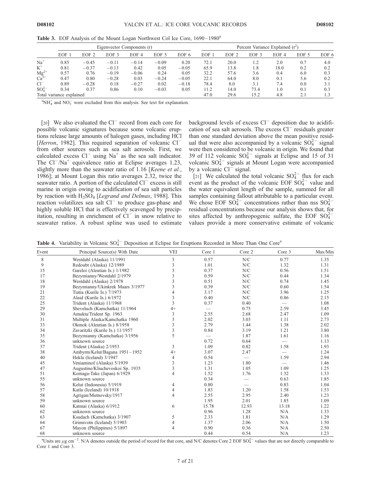|                                          |                          |                  |                  | Eigenvector Components (r) |         |         |      |                  |      | Percent Variance Explained $(r^2)$<br>EOF <sub>3</sub><br>EOF <sub>4</sub><br>EOF 6<br>EOF 5<br>2.0<br>0.7<br>4.0<br>18.0<br>0.2<br>0.2<br>1.8<br>0.3<br>3.6<br>0.4<br>6.0<br>8.0<br>0.2<br>0.1<br>5.6 |     |     |  |  |  |
|------------------------------------------|--------------------------|------------------|------------------|----------------------------|---------|---------|------|------------------|------|--------------------------------------------------------------------------------------------------------------------------------------------------------------------------------------------------------|-----|-----|--|--|--|
|                                          | EOF                      | EOF <sub>2</sub> | EOF <sub>3</sub> | EOF <sub>4</sub>           | EOF 5   | EOF 6   | EOF  | EOF <sub>2</sub> |      |                                                                                                                                                                                                        |     |     |  |  |  |
| $Na+$                                    | 0.85                     | $-0.45$          | $-0.11$          | $-0.14$                    | $-0.09$ | 0.20    | 72.1 | 20.0             |      |                                                                                                                                                                                                        |     |     |  |  |  |
| $K^+$                                    | 0.81                     | $-0.37$          | $-0.13$          | 0.42                       | 0.05    | $-0.05$ | 65.9 | 13.8             |      |                                                                                                                                                                                                        |     |     |  |  |  |
| $\mathbf{Mg}^{2+}_{2+}$ Ca <sup>2+</sup> | 0.57                     | 0.76             | $-0.19$          | $-0.06$                    | 0.24    | 0.05    | 32.2 | 57.6             |      |                                                                                                                                                                                                        |     |     |  |  |  |
|                                          | 0.47                     | 0.80             | $-0.28$          | 0.03                       | $-0.24$ | $-0.05$ | 22.1 | 64.0             |      |                                                                                                                                                                                                        |     |     |  |  |  |
| $Cl^{-}$                                 | 0.89                     | $-0.28$          | 0.18             | $-0.27$                    | 0.02    | $-0.18$ | 78.4 | 8.0              | 3.1  | 7.4                                                                                                                                                                                                    | 0.0 | 3.1 |  |  |  |
| $SO_4^{2-}$                              | 0.34                     | 0.37             | 0.86             | 0.10                       | $-0.03$ | 0.05    | 11.2 | 14.0             | 73.4 | 1.0                                                                                                                                                                                                    | 0.1 | 0.3 |  |  |  |
|                                          | Total variance explained |                  |                  |                            |         |         | 47.0 | 29.6             | 15.2 | 4.8                                                                                                                                                                                                    |     |     |  |  |  |

Table 3. EOF Analysis of the Mount Logan Northwest Col Ice Core, 1690–1980<sup>a</sup>

 ${}^{\text{a}}\text{NH}_4^+$  and NO<sub>3</sub><sup>-</sup> were excluded from this analysis. See text for explanation.

[20] We also evaluated the Cl<sup>-</sup> record from each core for possible volcanic signatures because some volcanic eruptions release large amounts of halogen gases, including HCl [Herron, 1982]. This required separation of volcanic Cl<sup>-</sup> from other sources such as sea salt aerosols. First, we calculated excess  $Cl^-$  using Na<sup>+</sup> as the sea salt indicator. The  $Cl^{-}/Na^{+}$  equivalence ratio at Eclipse averages 1.23, slightly more than the seawater ratio of 1.16 [*Keene et al.*, 1986]; at Mount Logan this ratio averages 2.32, twice the seawater ratio. A portion of the calculated Cl<sup>-</sup> excess is still marine in origin owing to acidification of sea salt particles by reaction with  $H_2SO_4$  [*Legrand and Delmas*, 1988]. This reaction volatilizes sea salt Cl<sup>-</sup> to produce gas-phase and highly soluble HCl that is effectively scavenged by precipitation, resulting in enrichment of  $CI^-$  in snow relative to seawater ratios. A robust spline was used to estimate

background levels of excess Cl<sup>-</sup> deposition due to acidification of sea salt aerosols. The excess Cl<sup>-</sup> residuals greater than one standard deviation above the mean positive residual that were also accompanied by a volcanic  $SO_4^{2-}$  signal were then considered to be volcanic in origin. We found that 39 of 112 volcanic  $SO_4^{2-}$  signals at Eclipse and 15 of 31 volcanic  $SO_4^{2-}$  signals at Mount Logan were accompanied by a volcanic  $Cl^{-}$  signal.

[21] We calculated the total volcanic  $SO_4^{2-}$  flux for each event as the product of the volcanic EOF  $SO_4^{2-}$  value and the water equivalent length of the sample, summed for all samples containing fallout attributable to a particular event. We chose EOF  $SO_4^{2-}$  concentrations rather than nss  $SO_4^{2-}$ residual concentrations because our analysis shows that, for sites affected by anthropogenic sulfate, the EOF  $SO_4^{2-}$ values provide a more conservative estimate of volcanic

Table 4. Variability in Volcanic  $SO_4^{2-}$  Deposition at Eclipse for Eruptions Recorded in More Than One Core<sup>a</sup>

| Event | Principal Source(s) With Date    | <b>VEI</b> | Core 1                   | Core 2 | Core 3                   | Max/Min |
|-------|----------------------------------|------------|--------------------------|--------|--------------------------|---------|
|       |                                  |            |                          |        |                          |         |
| 8     | Westdahl (Alaska) 11/1991        | 3          | 0.57                     | N/C    | 0.77                     | 1.35    |
| 9     | Redoubt (Alaska) 12/1989         | 3          | 1.01                     | N/C    | 1.32                     | 1.31    |
| 15    | Gareloi (Aleutian Is.) 1/1982    | 3          | 0.37                     | N/C    | 0.56                     | 1.51    |
| 17    | Bezymianny/Westdahl 2/1979       | 3          | 0.59                     | N/C    | 0.44                     | 1.34    |
| 18    | Westdahl (Alaska) 2/1978         | 3          | 0.51                     | N/C    | 0.74                     | 1.45    |
| 19    | Bezymianny/Ukinkrek Maars 3/1977 | 3          | 0.39                     | N/C    | 0.60                     | 1.54    |
| 21    | Tiatia (Kurile Is.) 7/1973       | 4          | 3.17                     | N/C    | 3.96                     | 1.25    |
| 22    | Alaid (Kurile Is.) 6/1972        | 3          | 0.40                     | N/C    | 0.86                     | 2.15    |
| 25    | Trident (Alaska) 11/1968         | 3          | 0.37                     | 0.40   |                          | 1.08    |
| 29    | Sheveluch (Kamchatka) 11/1964    | $4+$       | $\overline{\phantom{0}}$ | 0.75   | 2.59                     | 3.45    |
| 30    | Amukta/Trident Sp. 1963          | 3          | 2.55                     | 2.68   | 2.47                     | 1.09    |
| 31    | Multiple Alaska/Kamchatka 1960   | 3          | 2.02                     | 3.03   | 1.11                     | 2.73    |
| 33    | Okmok (Aleutian Is.) 8/1958      | 3          | 2.79                     | 1.44   | 1.38                     | 2.02    |
| 34    | Zavaritzki (Kurile Is.) 11/1957  | 3          | 0.84                     | 3.19   | 1.21                     | 3.80    |
| 35    | Bezymianny (Kamchatka) 3/1956    | 5          |                          | 1.87   | 1.61                     | 1.16    |
| 36    | unknown source                   |            | 0.72                     | 0.64   | $\overline{\phantom{0}}$ | 1.13    |
| 37    | Trident (Alaska) 2/1953          | 3          | 1.09                     | 0.82   | 1.58                     | 1.93    |
| 38    | Ambyrm/Kelut/Bagana 1951-1952    | $4+$       | 3.07                     | 2.47   | $\qquad \qquad$          | 1.24    |
| 40    | Hekla (Iceland) 3/1947           | 4          | 0.54                     |        | 1.59                     | 2.94    |
| 45    | Veniaminof (Alaska) 5/1939       | 3          | 1.23                     | 1.80   |                          | 1.46    |
| 47    | Augustine/Kliuchevoskoi Sp. 1935 | 3          | 1.31                     | 1.05   | 1.09                     | 1.25    |
| 51    | Komaga-Take (Japan) 6/1929       | 4          | 1.52                     | 1.76   | 1.32                     | 1.33    |
| 55    | unknown source                   |            | 0.34                     |        | 0.63                     | 1.85    |
| 56    | Kelut (Indonesia) 5/1919         | 4          | 0.80                     |        | 0.83                     | 1.04    |
| 57    | Katla (Iceland) 10/1918          | 4          | 1.83                     | 1.20   | 1.58                     | 1.53    |
| 58    | Agrigan/Mutnovsky/1917           | 4          | 2.55                     | 2.95   | 2.40                     | 1.23    |
| 59    | unknown source                   |            | 1.95                     | 2.01   | 1.85                     | 1.09    |
| 60    | Katmai (Alaska) 6/1912           | 6          | 15.78                    | 12.93  | 13.18                    | 1.22    |
| 62    | unknown source                   |            | 0.96                     | 1.28   | N/A                      | 1.33    |
| 63    | Ksudach (Kamchatka) 3/1907       | 5          | 2.33                     | 1.81   | N/A                      | 1.29    |
| 64    | Grimsvotn (Iceland) 5/1903       | 4          | 1.37                     | 2.06   | N/A                      | 1.50    |
| 67    | Mayon (Philippines) 5/1897       | 4          | 0.90                     | 0.36   | N/A                      | 2.50    |
| 68    | unknown source                   |            | 0.44                     | 0.54   | N/A                      | 1.23    |

<sup>a</sup>Units are  $\mu$ g cm<sup>-2</sup>. N/A denotes outside the period of record for that core, and N/C denotes Core 2 EOF SO $_4^{2-}$  values that are not directly comparable to Core 1 and Core 3.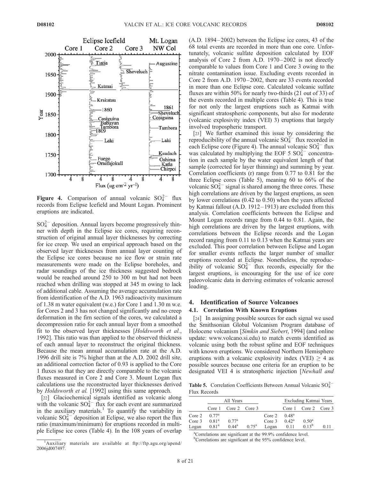

Figure 4. Comparison of annual volcanic  $SO_4^{2-}$  flux records from Eclipse Icefield and Mount Logan. Prominent eruptions are indicated.

 $SO_4^{2-}$  deposition. Annual layers become progressively thinner with depth in the Eclipse ice cores, requiring reconstruction of original annual layer thicknesses by correcting for ice creep. We used an empirical approach based on the observed layer thicknesses from annual layer counting of the Eclipse ice cores because no ice flow or strain rate measurements were made on the Eclipse boreholes, and radar soundings of the ice thickness suggested bedrock would be reached around 250 to 300 m but had not been reached when drilling was stopped at 345 m owing to lack of additional cable. Assuming the average accumulation rate from identification of the A.D. 1963 radioactivity maximum of 1.38 m water equivalent (w.e.) for Core 1 and 1.30 m w.e. for Cores 2 and 3 has not changed significantly and no creep deformation in the firn section of the cores, we calculated a decompression ratio for each annual layer from a smoothed fit to the observed layer thicknesses [Holdsworth et al., 1992]. This ratio was than applied to the observed thickness of each annual layer to reconstruct the original thickness. Because the mean annual accumulation rate at the A.D. 1996 drill site is 7% higher than at the A.D. 2002 drill site, an additional correction factor of 0.93 is applied to the Core 1 fluxes so that they are directly comparable to the volcanic fluxes measured in Core 2 and Core 3. Mount Logan flux calculations use the reconstructed layer thicknesses derived by Holdsworth et al. [1992] using this same approach.

[22] Glaciochemical signals identified as volcanic along with the volcanic  $SO_4^{2-}$  flux for each event are summarized in the auxiliary materials.<sup>1</sup> To quantify the variability in volcanic  $SO_4^{2-}$  deposition at Eclipse, we also report the flux ratio (maximum/minimum) for eruptions recorded in multiple Eclipse ice cores (Table 4). In the 108 years of overlap  $(A.D. 1894 - 2002)$  between the Eclipse ice cores, 43 of the 68 total events are recorded in more than one core. Unfortunately, volcanic sulfate deposition calculated by EOF analysis of Core 2 from A.D. 1970– 2002 is not directly comparable to values from Core 1 and Core 3 owing to the nitrate contamination issue. Excluding events recorded in Core 2 from A.D. 1970-2002, there are 33 events recorded in more than one Eclipse core. Calculated volcanic sulfate fluxes are within 50% for nearly two-thirds (21 out of 33) of the events recorded in multiple cores (Table 4). This is true for not only the largest eruptions such as Katmai with significant stratospheric components, but also for moderate (volcanic explosivity index (VEI) 3) eruptions that largely involved tropospheric transport.

[23] We further examined this issue by considering the reproducibility of the annual volcanic  $SO_4^{2-}$  flux recorded in each Eclipse core (Figure 4). The annual volcanic  $SO_4^{2-}$  flux was calculated by multiplying the EOF 5  $SO_4^{2-}$  concentration in each sample by the water equivalent length of that sample (corrected for layer thinning) and summing by year. Correlation coefficients (r) range from 0.77 to 0.81 for the three Eclipse cores (Table 5), meaning 60 to 66% of the volcanic  $SO_4^{2-}$  signal is shared among the three cores. These high correlations are driven by the largest eruptions, as seen by lower correlations (0.42 to 0.50) when the years affected by Katmai fallout (A.D. 1912–1913) are excluded from this analysis. Correlation coefficients between the Eclipse and Mount Logan records range from 0.44 to 0.81. Again, the high correlations are driven by the largest eruptions, with correlations between the Eclipse records and the Logan record ranging from 0.11 to 0.13 when the Katmai years are excluded. This poor correlation between Eclipse and Logan for smaller events reflects the larger number of smaller eruptions recorded at Eclipse. Nonetheless, the reproducibility of volcanic  $SO_4^{2-}$  flux records, especially for the largest eruptions, is encouraging for the use of ice core paleovolcanic data in deriving estimates of volcanic aerosol loading.

# 4. Identification of Source Volcanoes

#### 4.1. Correlation With Known Eruptions

[24] In assigning possible sources for each signal we used the Smithsonian Global Volcanism Program database of Holocene volcanism [Simkin and Siebert, 1994] (and online update: www.volcano.si.edu) to match events identified as volcanic using both the robust spline and EOF techniques with known eruptions. We considered Northern Hemisphere eruptions with a volcanic explosivity index (VEI)  $> 4$  as possible sources because one criteria for an eruption to be designated VEI 4 is stratospheric injection [Newhall and

**Table 5.** Correlation Coefficients Between Annual Volcanic  $SO_4^{2-}$ Flux Records

|                 |                   | All Years            |                |                       |      | Excluding Katmai Years |     |
|-----------------|-------------------|----------------------|----------------|-----------------------|------|------------------------|-----|
|                 |                   | Core 1 Core 2 Core 3 |                |                       |      | Core 1 Core 2 Core 3   |     |
| Core 2 $0.77^a$ |                   |                      |                | Core $2 \quad 0.48^a$ |      |                        |     |
| Core 3          | 0.81 <sup>a</sup> | 0.77 <sup>a</sup>    |                | Core 3 $0.42^a$       |      | $0.50^{\rm a}$         |     |
| Logan           | $0.81^{\rm a}$    | $0.44^{\rm a}$       | $0.75^{\rm a}$ | Logan                 | 0.11 | $0.13^{b}$             | 011 |

a Correlations are significant at the 99.9% confidence level.  $\frac{1}{2}$  bCorrelations are significant at the 95% confidence level.

<sup>&</sup>lt;sup>1</sup>Auxiliary materials are available at ftp://ftp.agu.org/apend/ 2006jd007497.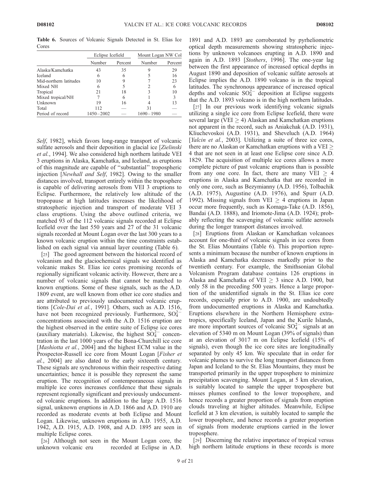Table 6. Sources of Volcanic Signals Detected in St. Elias Ice Cores

|                        | Eclipse Icefield |         | Mount Logan NW Col |         |  |
|------------------------|------------------|---------|--------------------|---------|--|
|                        | Number           | Percent | Number             | Percent |  |
| Alaska/Kamchatka       | 43               | 35      |                    | 29      |  |
| <b>Iceland</b>         | 6                | 6       |                    | 16      |  |
| Mid-northern latitudes | 10               | Q       |                    | 23      |  |
| Mixed NH               | 6                | 5       |                    | 6       |  |
| Tropical               | 21               | 18      |                    | 10      |  |
| Mixed tropical/NH      |                  | 6       |                    | 3       |  |
| Unknown                | 19               | 16      |                    | 13      |  |
| Total                  | 112              |         | 31                 |         |  |
| Period of record       | 1450-2002        |         | 1690-1980          |         |  |

Self, 1982], which favors long-range transport of volcanic sulfate aerosols and their deposition in glacial ice [Zielinski et al., 1994]. We also considered high northern latitude VEI 3 eruptions in Alaska, Kamchatka, and Iceland, as eruptions of this magnitude are capable of ''substantial'' tropospheric injection [Newhall and Self, 1982]. Owing to the smaller distances involved, transport entirely within the troposphere is capable of delivering aerosols from VEI 3 eruptions to Eclipse. Furthermore, the relatively low altitude of the tropopause at high latitudes increases the likelihood of stratospheric injection and transport of moderate VEI 3 class eruptions. Using the above outlined criteria, we matched 93 of the 112 volcanic signals recorded at Eclipse Icefield over the last 550 years and 27 of the 31 volcanic signals recorded at Mount Logan over the last 300 years to a known volcanic eruption within the time constraints established on each signal via annual layer counting (Table 6).

[25] The good agreement between the historical record of volcanism and the glaciochemical signals we identified as volcanic makes St. Elias ice cores promising records of regionally significant volcanic activity. However, there are a number of volcanic signals that cannot be matched to known eruptions. Some of these signals, such as the A.D. 1809 event, are well known from other ice core studies and are attributed to previously undocumented volcanic eruptions [Cole-Dai et al., 1991]. Others, such as A.D. 1516, have not been recognized previously. Furthermore,  $SO_4^{2-}$ concentrations associated with the A.D. 1516 eruption are the highest observed in the entire suite of Eclipse ice cores (auxiliary materials). Likewise, the highest  $SO_4^{2-}$  concentration in the last 1000 years of the Bona-Churchill ice core [*Mashiotta et al.*, 2004] and the highest ECM value in the Prospector-Russell ice core from Mount Logan [Fisher et al., 2004] are also dated to the early sixteenth century. These signals are synchronous within their respective dating uncertainties; hence it is possible they represent the same eruption. The recognition of contemporaneous signals in multiple ice cores increases confidence that these signals represent regionally significant and previously undocumented volcanic eruptions. In addition to the large A.D. 1516 signal, unknown eruptions in A.D. 1866 and A.D. 1910 are recorded as moderate events at both Eclipse and Mount Logan. Likewise, unknown eruptions in A.D. 1955, A.D. 1942, A.D. 1915, A.D. 1908, and A.D. 1895 are seen in multiple Eclipse cores.

[26] Although not seen in the Mount Logan core, the unknown volcanic eru recorded at Eclipse in A.D. 1891 and A.D. 1893 are corroborated by pyrheliometric optical depth measurements showing stratospheric injections by unknown volcanoes erupting in A.D. 1890 and again in A.D. 1893 [Stothers, 1996]. The one-year lag between the first appearance of increased optical depths in August 1890 and deposition of volcanic sulfate aerosols at Eclipse implies the A.D. 1890 volcano is in the tropical latitudes. The synchronous appearance of increased optical depths and volcanic  $SO_4^{2-}$  deposition at Eclipse suggests that the A.D. 1893 volcano is in the high northern latitudes.

[27] In our previous work identifying volcanic signals utilizing a single ice core from Eclipse Icefield, there were several large (VEI  $\geq$  4) Alaskan and Kamchatkan eruptions not apparent in the record, such as Aniakchak (A.D. 1931), Kliuchevoskoi (A.D. 1931), and Sheveluch (A.D. 1964) [Yalcin et al., 2003]. Utilizing a suite of three ice cores, there are no Alaskan or Kamchatkan eruptions with a VEI  $\geq$ 4 that are not seen in at least one Eclipse core since A.D. 1829. The acquisition of multiple ice cores allows a more complete picture of past volcanic eruptions than is possible from any one core. In fact, there are many VEI  $\geq$  4 eruptions in Alaska and Kamchatka that are recorded in only one core, such as Bezymianny (A.D. 1956), Tolbachik (A.D. 1975), Augustine (A.D. 1976), and Spurr (A.D. 1992). Missing signals from VEI  $\geq$  4 eruptions in Japan occur more frequently, such as Komaga-Take (A.D. 1856), Bandai (A.D. 1888), and Iriomote-Jima (A.D. 1924); probably reflecting the scavenging of volcanic sulfate aerosols during the longer transport distances involved.

[28] Eruptions from Alaskan or Kamchatkan volcanoes account for one-third of volcanic signals in ice cores from the St. Elias Mountains (Table 6). This proportion represents a minimum because the number of known eruptions in Alaska and Kamchatka decreases markedly prior to the twentieth century. For example, the Smithsonian Global Volcanism Program database contains 126 eruptions in Alaska and Kamchatka of VEI  $\geq$  3 since A.D. 1900, but only 58 in the preceding 500 years. Hence a large proportion of the unidentified signals in the St. Elias ice core records, especially prior to A.D. 1900, are undoubtedly from undocumented eruptions in Alaska and Kamchatka. Eruptions elsewhere in the Northern Hemisphere extratropics, specifically Iceland, Japan and the Kurile Islands, are more important sources of volcanic  $SO_4^{2-}$  signals at an elevation of 5340 m on Mount Logan (39% of signals) than at an elevation of 3017 m on Eclipse Icefield (15% of signals), even though the ice core sites are longitudinally separated by only 45 km. We speculate that in order for volcanic plumes to survive the long transport distances from Japan and Iceland to the St. Elias Mountains, they must be transported primarily in the upper troposphere to minimize precipitation scavenging. Mount Logan, at 5 km elevation, is suitably located to sample the upper troposphere but misses plumes confined to the lower troposphere, and hence records a greater proportion of signals from eruption clouds traveling at higher altitudes. Meanwhile, Eclipse Icefield at 3 km elevation, is suitably located to sample the lower troposphere, and hence records a greater proportion of signals from moderate eruptions carried in the lower troposphere.

[29] Discerning the relative importance of tropical versus high northern latitude eruptions in these records is more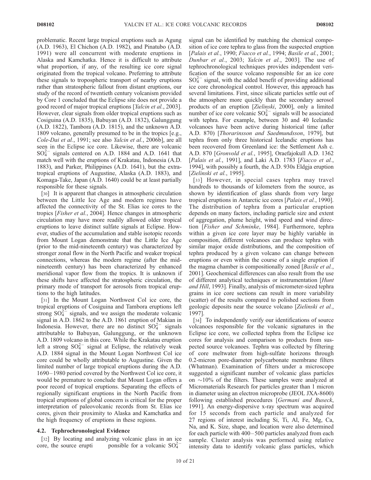problematic. Recent large tropical eruptions such as Agung (A.D. 1963), El Chichon (A.D. 1982), and Pinatubo (A.D. 1991) were all concurrent with moderate eruptions in Alaska and Kamchatka. Hence it is difficult to attribute what proportion, if any, of the resulting ice core signal originated from the tropical volcano. Preferring to attribute these signals to tropospheric transport of nearby eruptions rather than stratospheric fallout from distant eruptions, our study of the record of twentieth century volcanism provided by Core 1 concluded that the Eclipse site does not provide a good record of major tropical eruptions [Yalcin et al., 2003]. However, clear signals from older tropical eruptions such as Cosiguina (A.D. 1835), Babuyan (A.D. 1832), Galunggung (A.D. 1822), Tambora (A.D. 1815), and the unknown A.D. 1809 volcano, generally presumed to be in the tropics [e.g., Cole-Dai et al., 1991; see also Yalcin et al., 2006b], are all seen in the Eclipse ice core. Likewise, there are volcanic  $SO_4^{2-}$  signals centered on A.D. 1884 and A.D. 1641 that match well with the eruptions of Krakatau, Indonesia (A.D. 1883), and Parker, Philippines (A.D. 1641), but the extratropical eruptions of Augustine, Alaska (A.D. 1883), and Komaga-Take, Japan (A.D. 1640) could be at least partially responsible for these signals.

[30] It is apparent that changes in atmospheric circulation between the Little Ice Age and modern regimes have affected the connectivity of the St. Elias ice cores to the tropics [Fisher et al., 2004]. Hence changes in atmospheric circulation may have more readily allowed older tropical eruptions to leave distinct sulfate signals at Eclipse. However, studies of the accumulation and stable isotopic records from Mount Logan demonstrate that the Little Ice Age (prior to the mid-nineteenth century) was characterized by stronger zonal flow in the North Pacific and weaker tropical connections, whereas the modern regime (after the midnineteenth century) has been characterized by enhanced meridional vapor flow from the tropics. It is unknown if these shifts have affected the stratospheric circulation, the primary mode of transport for aerosols from tropical eruptions to the high latitudes.

[31] In the Mount Logan Northwest Col ice core, the tropical eruptions of Cosiguina and Tambora eruptions left strong  $SO_4^{2-}$  signals, and we assign the moderate volcanic signal in A.D. 1862 to the A.D. 1861 eruption of Makian in Indonesia. However, there are no distinct  $SO_4^{2-}$  signals attributable to Babuyan, Galunggung, or the unknown A.D. 1809 volcano in this core. While the Krakatau eruption left a strong  $SO_4^{2-}$  signal at Eclipse, the relatively weak A.D. 1884 signal in the Mount Logan Northwest Col ice core could be wholly attributable to Augustine. Given the limited number of large tropical eruptions during the A.D. 1690 – 1980 period covered by the Northwest Col ice core, it would be premature to conclude that Mount Logan offers a poor record of tropical eruptions. Separating the effects of regionally significant eruptions in the North Pacific from tropical eruptions of global concern is critical for the proper interpretation of paleovolcanic records from St. Elias ice cores, given their proximity to Alaska and Kamchatka and the high frequency of eruptions in these regions.

# 4.2. Tephrochronological Evidence

[32] By locating and analyzing volcanic glass in an ice core, the source erupti ponsible for a volcanic  $SO_4^{2-}$ 

signal can be identified by matching the chemical composition of ice core tephra to glass from the suspected eruption [Palais et al., 1990; Fiacco et al., 1994; Basile et al., 2001; Dunbar et al., 2003; Yalcin et al., 2003]. The use of tephrochronological techniques provides independent verification of the source volcano responsible for an ice core  $SO_4^{2-}$  signal, with the added benefit of providing additional ice core chronological control. However, this approach has several limitations. First, since silicate particles settle out of the atmosphere more quickly than the secondary aerosol products of an eruption [Zielinski, 2000], only a limited number of ice core volcanic  $SO_4^{2-}$  signals will be associated with tephra. For example, between 30 and 40 Icelandic volcanoes have been active during historical time (after A.D. 870) [Thorarinsson and Saedmundsson, 1979], but tephra from only three historical Icelandic eruptions has been recovered from Greenland ice: the Settlement Ash c. A.D. 870 [Gronvold et al., 1995], Oraefajokull A.D. 1362 [Palais et al., 1991], and Laki A.D. 1783 [Fiacco et al., 1994], with possibly a fourth, the A.D. 930s Eldgja eruption [Zielinski et al., 1995].

[33] However, in special cases tephra may travel hundreds to thousands of kilometers from the source, as shown by identification of glass shards from very large tropical eruptions in Antarctic ice cores [Palais et al., 1990]. The distribution of tephra from a particular eruption depends on many factors, including particle size and extent of aggregation, plume height, wind speed and wind direction [Fisher and Schminke, 1984]. Furthermore, tephra within a given ice core layer may be highly variable in composition, different volcanoes can produce tephra with similar major oxide distributions, and the composition of tephra produced by a given volcano can change between eruptions or even within the course of a single eruption if the magma chamber is compositionally zoned [*Basile et al.*, 2001]. Geochemical differences can also result from the use of different analytical techniques or instrumentation [Hunt and Hill, 1993]. Finally, analysis of micrometer-sized tephra grains in ice core sections can result in more variability (scatter) of the results compared to polished sections from geologic deposits near the source volcano [Zielinski et al., 1997].

[34] To independently verify our identifications of source volcanoes responsible for the volcanic signatures in the Eclipse ice core, we collected tephra from the Eclipse ice cores for analysis and comparison to products from suspected source volcanoes. Tephra was collected by filtering of core meltwater from high-sulfate horizons through 0.2-micron pore-diameter polycarbonate membrane filters (Whatman). Examination of filters under a microscope suggested a significant number of volcanic glass particles on  $\sim$ 10% of the filters. These samples were analyzed at Micromaterials Research for particles greater than 1 micron in diameter using an electron microprobe (JEOL JXA-8600) following established procedures [Germani and Buseck, 1991]. An energy-dispersive x-ray spectrum was acquired for 15 seconds from each particle and analyzed for 27 regions of interest including Si, Ti, Al, Fe, Mg, Ca, Na, and K. Size, shape, and location were also determined for each particle with  $400 - 500$  particles analyzed from each sample. Cluster analysis was performed using relative intensity data to identify volcanic glass particles, which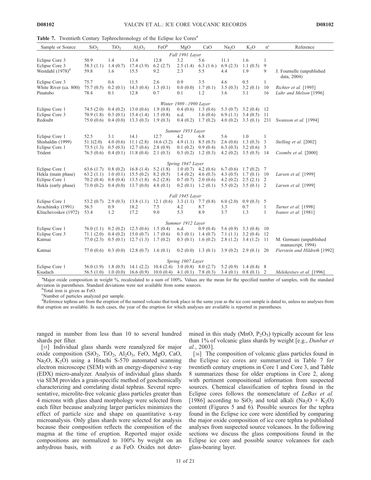|  | Table 7. Twentieth Century Tephrochronology of the Eclipse Ice Cores <sup>a</sup> |  |  |
|--|-----------------------------------------------------------------------------------|--|--|
|  |                                                                                   |  |  |

| Sample or Source      | SiO <sub>2</sub> | TiO <sub>2</sub> | $Al_2O_3$ | FeO <sup>b</sup> | MgO                    | CaO                    | Na <sub>2</sub> O | $K_2O$        | $n^{c}$      | Reference                                    |
|-----------------------|------------------|------------------|-----------|------------------|------------------------|------------------------|-------------------|---------------|--------------|----------------------------------------------|
|                       |                  |                  |           |                  | Fall 1991 Layer        |                        |                   |               |              |                                              |
| Eclipse Core 3        | 50.9             | 1.4              | 13.4      | 12.8             | 3.2                    | 5.6                    | 11.1              | 1.6           | 1            |                                              |
| Eclipse Core 3        | 58.3(1.1)        | 1.4(0.7)         | 17.4(3.9) | 6.2(2.7)         | 2.5(1.4)               | 6.3(1.6)               | 6.9(2.3)          | 1.1(0.5)      | 9            |                                              |
| Westdahl $(1978)^d$   | 59.8             | 1.6              | 15.5      | 9.2              | 2.3                    | 5.5                    | 4.4               | 1.9           | 9            | J. Fournelle (unpublished<br>data, 2004)     |
| Eclipse Core 3        | 75.7             | 0.6              | 11.5      | 2.6              | 0.9                    | 3.5                    | 4.6               | 0.5           | $\mathbf{1}$ |                                              |
| White River (ca. 800) | 75.7(0.5)        | 0.2(0.1)         | 14.3(0.4) | 1.3(0.1)         | 0.0(0.0)               | 1.7(0.1)               | 3.5(0.3)          | 3.2(0.1)      | 10           | Richter et al. [1995]                        |
| Pinatubo              | 78.4             | 0.1              | 12.8      | 0.7              | 0.1                    | 1.2                    | 3.6               | 3.1           | 16           | Luhr and Melson [1996]                       |
|                       |                  |                  |           |                  | Winter 1989-1990 Layer |                        |                   |               |              |                                              |
| Eclipse Core 1        | 74.5(2.0)        | 0.4(0.2)         | 13.0(0.6) | 1.9(0.8)         |                        | $0.4(0.6)$ 1.3 $(0.6)$ | 5.3 $(0.7)$       | 3.2(0.4)      | -12          |                                              |
| Eclipse Core 3        | 70.9(1.8)        | 0.3(0.1)         | 15.4(1.4) | 1.5(0.8)         | n.d.                   | 1.6(0.6)               | 6.9(1.1)          | 3.4(0.5)      | -11          |                                              |
| Redoubt               | 75.0(0.6)        | 0.4(0.0)         | 13.3(0.3) | 1.9(0.3)         | 0.4(0.2)               | 1.7(0.2)               | 4.0(0.2)          | 3.3(0.1)      | 231          | Swanson et al. [1994]                        |
|                       |                  |                  |           |                  | Summer 1953 Layer      |                        |                   |               |              |                                              |
| Eclipse Core 1        | 52.5             | 3.1              | 14.1      | 12.7             | 4.2                    | 6.8                    | 5.6               | 1.0           | 1            |                                              |
| Shishaldin (1999)     | 51.1(2.0)        | 4.0(0.6)         | 11.1(2.8) | 16.6(3.2)        | 4.9(1.1)               | 8.5(0.5)               | 2.6(0.6)          | 1.3(0.3)      | 3            | Stelling et al. [2002]                       |
| Eclipse Core 1        | 73.5(1.3)        | 0.5(0.3)         | 12.7(0.6) | 2.8(0.9)         | 0.1(0.2)               | 0.9(0.4)               | 6.3(0.3)          | 3.2(0.6)      | 3            |                                              |
| Trident               | 76.5(0.6)        | 0.4(0.1)         | 11.8(0.4) | 2.1(0.3)         | 0.3(0.2)               | 1.2(0.3)               | 4.2(0.2)          | $3.5(0.5)$ 14 |              | Coombs et al. [2000]                         |
|                       |                  |                  |           |                  | Spring 1947 Layer      |                        |                   |               |              |                                              |
| Eclipse Core 1        | 63.6(1.7)        | 0.8(0.2)         | 16.8(1.4) | 5.2(1.8)         | 1.0(0.7)               | 4.2 $(0.6)$            | 6.7(0.6)          | 1.7(0.2)      | 7            |                                              |
| Hekla (main phase)    | 63.2(1.1)        | 1.0(0.1)         | 15.5(0.2) | 8.2(0.5)         | 1.4(0.2)               | 4.6(0.3)               | 4.3 $(0.5)$       | 1.7(0.1)      | 10           | Larsen et al. [1999]                         |
| Eclipse Core 1        | 70.2(0.4)        | 0.8(0.4)         | 13.5(1.8) | 6.2(2.8)         | 0.7(0.7)               | 2.0(0.6)               | 4.2(0.2)          | 2.5(2.1)      | 2            |                                              |
| Hekla (early phase)   | 71.0(0.2)        | 0.4(0.0)         | 13.7(0.0) | 4.8 $(0.1)$      | 0.2(0.1)               | 1.2(0.1)               | 5.5(0.2)          | 3.5(0.1)      | 2            | Larsen et al. [1999]                         |
|                       |                  |                  |           |                  | Fall 1945 Layer        |                        |                   |               |              |                                              |
| Eclipse Core 1        | 53.2 $(0.7)$     | 2.9(0.3)         | 13.8(1.1) | 12.1(0.6)        | 3.3(1.1)               | 7.7(0.8)               | 6.0(2.0)          | 0.9(0.3)      | 5            |                                              |
| Avachinsky (1991)     | 56.5             | 0.9              | 18.2      | 7.5              | 4.2                    | 8.7                    | 3.3               | 0.7           | 1            | Turner et al. [1998]                         |
| Kliuchevoskoi (1972)  | 53.4             | 1.2              | 17.2      | 9.0              | 5.3                    | 8.9                    | 3.7               | 1.3           | 1            | Ivanov et al. [1981]                         |
|                       |                  |                  |           |                  | Summer 1912 Layer      |                        |                   |               |              |                                              |
| Eclipse Core 1        | 76.0 (1.1)       | 0.2(0.2)         | 12.5(0.6) | 1.5(0.4)         | n.d.                   | 0.9(0.4)               | 5.6(0.9)          | 3.3(0.4)      | 10           |                                              |
| Eclipse Core 3        | 71.1(2.0)        | 0.4(0.2)         | 15.0(0.7) | 1.7(0.6)         | 0.3(0.1)               | 1.4(0.7)               | 7.1(1.1)          | 3.2(0.4)      | 12           |                                              |
| Katmai                | 77.0(2.3)        | 0.5(0.1)         | 12.7(1.3) | 1.7(0.2)         | 0.3(0.1)               | 1.6(0.2)               | 2.8(1.2)          | 3.4(1.2)      | -11          | M. Germani (unpublished<br>manuscript, 1994) |
| Katmai                | 77.0 (0.6)       | 0.3(0.0)         | 12.8(0.7) | 1.6(0.1)         | 0.2(0.0)               | 1.3(0.1)               | 3.9(0.2)          | 2.9(0.1)      | 20           | Fierstein and Hildreth [1992]                |
|                       |                  |                  |           |                  | Spring 1907 Layer      |                        |                   |               |              |                                              |
| Eclipse Core 1        | 56.0 (1.9)       | 1.8(0.5)         | 14.1(2.2) | 10.4(2.4)        | 3.0(0.8)               | 8.0(2.7)               | 5.2(0.9)          | 1.4(0.4)      | 8            |                                              |
| Ksudach               | 56.5(1.0)        | 1.0(0.0)         | 16.6(0.9) | 10.0(0.4)        | 4.1 $(0.1)$            | 7.8(0.3)               | 3.4(0.1)          | 0.8(0.1)      | 2            | Melekestsev et al. [1996]                    |

a Major oxide composition in weight %, recalculated to a sum of 100%. Values are the mean for the specified number of samples, with the standard deviation in parentheses. Standard deviations were not available from some sources.

Total iron is given as FeO.

c Number of particles analyzed per sample.

<sup>d</sup>Reference tephras are from the eruption of the named volcano that took place in the same year as the ice core sample is dated to, unless no analyses from that eruption are available. In such cases, the year of the eruption for which analyses are available is reported in parentheses.

ranged in number from less than 10 to several hundred shards per filter.

[35] Individual glass shards were reanalyzed for major oxide composition  $(SiO_2, TiO_2, Al_2O_3, FeO, MgO, CaO,$ Na<sub>2</sub>O, K<sub>2</sub>O) using a Hitachi S-570 automated scanning electron microscope (SEM) with an energy-dispersive x-ray (EDX) micro-analyzer. Analysis of individual glass shards via SEM provides a grain-specific method of geochemically characterizing and correlating distal tephras. Several representative, microlite-free volcanic glass particles greater than 4 microns with glass shard morphology were selected from each filter because analyzing larger particles minimizes the effect of particle size and shape on quantitative x-ray microanalysis. Only glass shards were selected for analysis because their composition reflects the composition of the magma at the time of eruption. Reported major oxide compositions are normalized to 100% by weight on an anhydrous basis, with e as FeO. Oxides not determined in this study (MnO,  $P_2O_5$ ) typically account for less than 1% of volcanic glass shards by weight [e.g., Dunbar et al., 2003].

[36] The composition of volcanic glass particles found in the Eclipse ice cores are summarized in Table 7 for twentieth century eruptions in Core 1 and Core 3, and Table 8 summarizes those for older eruptions in Core 2, along with pertinent compositional information from suspected sources. Chemical classification of tephra found in the Eclipse cores follows the nomenclature of LeBas et al. [1986] according to  $SiO_2$  and total alkali (Na<sub>2</sub>O + K<sub>2</sub>O) content (Figures 5 and 6). Possible sources for the tephra found in the Eclipse ice core were identified by comparing the major oxide composition of ice core tephra to published analyses from suspected source volcanoes. In the following sections we discuss the glass compositions found in the Eclipse ice core and possible source volcanoes for each glass-bearing layer.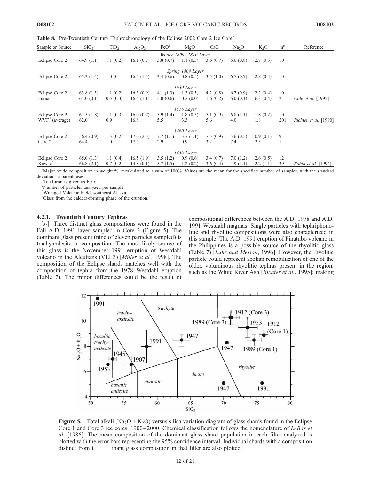Table 8. Pre-Twentieth Century Tephrochronology of the Eclipse 2002 Core 2 Ice Core<sup>a</sup>

| Sample or Source   | SiO <sub>2</sub> | TiO <sub>2</sub> | $Al_2O_3$ | FeO <sup>b</sup> | MgO                    | CaO      | Na <sub>2</sub> O | $K_2O$   | $n^{c}$ | Reference                  |
|--------------------|------------------|------------------|-----------|------------------|------------------------|----------|-------------------|----------|---------|----------------------------|
|                    |                  |                  |           |                  | Winter 1809-1810 Layer |          |                   |          |         |                            |
| Eclipse Core 2     | 64.9(1.1)        | 1.1(0.2)         | 16.1(0.7) | 3.8(0.7)         | 1.1(0.5)               | 3.6(0.7) | 6.6(0.8)          | 2.7(0.3) | 10      |                            |
|                    |                  |                  |           |                  | Spring 1804 Layer      |          |                   |          |         |                            |
| Eclipse Core 2     | 65.3(1.4)        | 1.0(0.1)         | 16.5(1.5) | 3.4(0.6)         | 0.8(0.5)               | 3.5(1.0) | 6.7(0.7)          | 2.8(0.4) | 10      |                            |
|                    |                  |                  |           |                  | 1630 Layer             |          |                   |          |         |                            |
| Eclipse Core 2     | 63.8(1.3)        | 1.1(0.2)         | 16.5(0.9) | 4.1(1.3)         | 1.3(0.3)               | 4.2(0.8) | 6.7(0.9)          | 2.2(0.4) | 10      |                            |
| Furnas             | 64.0(0.1)        | 0.5(0.3)         | 16.6(1.1) | 5.0(0.6)         | 0.2(0.0)               | 1.6(0.2) | 6.0(0.1)          | 6.3(0.4) | 2       | Cole et al. [1995]         |
|                    |                  |                  |           |                  | 1516 Layer             |          |                   |          |         |                            |
| Eclipse Core 2     | 61.5(1.8)        | 1.1(0.3)         | 16.0(0.7) | 5.9(1.4)         | 1.8(0.5)               | 5.1(0.9) | 6.8(1.1)          | 1.8(0.2) | 10      |                            |
| $WVFd$ (average)   | 62.0             | 0.9              | 16.8      | 5.5              | 3.3                    | 5.6      | 4.0               | 1.8      | 201     | Richter et al. [1990]      |
|                    |                  |                  |           |                  | 1460 Laver             |          |                   |          |         |                            |
| Eclipse Core 2     | 56.4(0.9)        | 1.3(0.2)         | 17.0(2.5) | 7.7(1.1)         | 3.7(1.1)               | 7.5(0.9) | 5.6(0.5)          | 0.9(0.1) | 9       |                            |
| Core 2             | 64.4             | 1.0              | 17.7      | 2.9              | 0.9                    | 3.2      | 7.4               | 2.5      |         |                            |
|                    |                  |                  |           |                  | 1456 Layer             |          |                   |          |         |                            |
| Eclipse Core 2     | 65.0(1.3)        | 1.1(0.4)         | 16.5(1.9) | 3.5(1.2)         | 0.9(0.6)               | 3.4(0.7) | 7.0(1.2)          | 2.6(0.5) | 12      |                            |
| Kuwae <sup>e</sup> | 66.8(2.1)        | 0.7(0.2)         | 14.8(0.1) | 5.7(1.5)         | 1.2(0.2)               | 3.6(0.4) | 4.9(1.1)          | 2.2(1.1) | 39      | <i>Robin et al.</i> [1994] |

<sup>a</sup>Major oxide composition in weight %, recalculated to a sum of 100%. Values are the mean for the specified number of samples, with the standard deviation in parentheses.

<sup>b</sup>Total iron is given as FeO.

c Number of particles analyzed per sample.

d Wrangell Volcanic Field, southeast Alaska.

e Glass from the caldera-forming phase of the eruption.

#### 4.2.1. Twentieth Century Tephras

[37] Three distinct glass compositions were found in the Fall A.D. 1991 layer sampled in Core 3 (Figure 5). The dominant glass present (nine of eleven particles sampled) is trachyandesite in composition. The most likely source of this glass is the November 1991 eruption of Westdahl volcano in the Aleutians (VEI 3) [Miller et al., 1998]. The composition of the Eclipse shards matches well with the composition of tephra from the 1978 Westdahl eruption (Table 7). The minor differences could be the result of

compositional differences between the A.D. 1978 and A.D. 1991 Westdahl magmas. Single particles with tephriphonolitic and rhyolitic compositions were also characterized in this sample. The A.D. 1991 eruption of Pinatubo volcano in the Philippines is a possible source of the rhyolitic glass (Table 7) [Luhr and Melson, 1996]. However, the rhyolitic particle could represent aeolian remobilization of one of the older, voluminous rhyolitic tephras present in the region, such as the White River Ash [Richter et al., 1995]; making



**Figure 5.** Total alkali (Na<sub>2</sub>O + K<sub>2</sub>O) versus silica variation diagram of glass shards found in the Eclipse Core 1 and Core 3 ice cores,  $1900 - 2000$ . Chemical classification follows the nomenclature of LeBas et al. [1986]. The mean composition of the dominant glass shard population in each filter analyzed is plotted with the error bars representing the 95% confidence interval. Individual shards with a composition distinct from t inant glass composition in that filter are also plotted.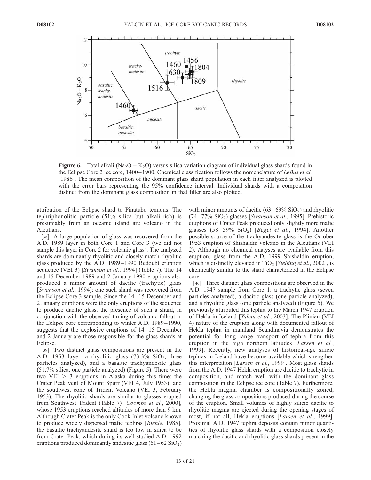

**Figure 6.** Total alkali (Na<sub>2</sub>O + K<sub>2</sub>O) versus silica variation diagram of individual glass shards found in the Eclipse Core 2 ice core,  $1400-1900$ . Chemical classification follows the nomenclature of LeBas et al. [1986]. The mean composition of the dominant glass shard population in each filter analyzed is plotted with the error bars representing the 95% confidence interval. Individual shards with a composition distinct from the dominant glass composition in that filter are also plotted.

attribution of the Eclipse shard to Pinatubo tenuous. The tephriphonolitic particle (51% silica but alkali-rich) is presumably from an oceanic island arc volcano in the Aleutians.

[38] A large population of glass was recovered from the A.D. 1989 layer in both Core 1 and Core 3 (we did not sample this layer in Core 2 for volcanic glass). The analyzed shards are dominantly rhyolitic and closely match rhyolitic glass produced by the A.D. 1989– 1990 Redoubt eruption sequence (VEI 3) [Swanson et al., 1994] (Table 7). The 14 and 15 December 1989 and 2 January 1990 eruptions also produced a minor amount of dacitic (trachytic) glass [Swanson et al., 1994]; one such shard was recovered from the Eclipse Core 3 sample. Since the 14– 15 December and 2 January eruptions were the only eruptions of the sequence to produce dacitic glass, the presence of such a shard, in conjunction with the observed timing of volcanic fallout in the Eclipse core corresponding to winter A.D. 1989–1990, suggests that the explosive eruptions of 14– 15 December and 2 January are those responsible for the glass shards at Eclipse.

[39] Two distinct glass compositions are present in the A.D. 1953 layer: a rhyolitic glass  $(73.3\%$  SiO<sub>2</sub>, three particles analyzed), and a basaltic trachyandesite glass (51.7% silica, one particle analyzed) (Figure 5). There were two VEI  $\geq$  3 eruptions in Alaska during this time: the Crater Peak vent of Mount Spurr (VEI 4, July 1953); and the southwest cone of Trident Volcano (VEI 3, February 1953). The rhyolitic shards are similar to glasses erupted from Southwest Trident (Table 7) [Coombs et al., 2000], whose 1953 eruptions reached altitudes of more than 9 km. Although Crater Peak is the only Cook Inlet volcano known to produce widely dispersed mafic tephras [Riehle, 1985], the basaltic trachyandesite shard is too low in silica to be from Crater Peak, which during its well-studied A.D. 1992 eruptions produced dominantly andesitic glass  $(61-62 \text{ SiO}_2)$  with minor amounts of dacitic  $(63-69\%$  SiO<sub>2</sub>) and rhyolitic  $(74 - 77\% \text{ SiO}_2)$  glasses [Swanson et al., 1995]. Prehistoric eruptions of Crater Peak produced only slightly more mafic glasses  $(58-59\%$  SiO<sub>2</sub>) [*Beget et al.*, 1994]. Another possible source of the trachyandesite glass is the October 1953 eruption of Shishaldin volcano in the Aleutians (VEI 2). Although no chemical analyses are available from this eruption, glass from the A.D. 1999 Shishaldin eruption, which is distinctly elevated in  $TiO<sub>2</sub>$  [*Stelling et al.*, 2002], is chemically similar to the shard characterized in the Eclipse core.

[40] Three distinct glass compositions are observed in the A.D. 1947 sample from Core 1: a trachytic glass (seven particles analyzed), a dacitic glass (one particle analyzed), and a rhyolitic glass (one particle analyzed) (Figure 5). We previously attributed this tephra to the March 1947 eruption of Hekla in Iceland [Yalcin et al., 2003]. The Plinian (VEI 4) nature of the eruption along with documented fallout of Hekla tephra in mainland Scandinavia demonstrates the potential for long range transport of tephra from this eruption in the high northern latitudes [Larsen et al., 1999]. Recently, new analyses of historical-age silicic tephras in Iceland have become available which strengthen this interpretation [Larsen et al., 1999]. Most glass shards from the A.D. 1947 Hekla eruption are dacitic to trachytic in composition, and match well with the dominant glass composition in the Eclipse ice core (Table 7). Furthermore, the Hekla magma chamber is compositionally zoned, changing the glass compositions produced during the course of the eruption. Small volumes of highly silicic dacitic to rhyolitic magma are ejected during the opening stages of most, if not all, Hekla eruptions [Larsen et al., 1999]. Proximal A.D. 1947 tephra deposits contain minor quantities of rhyolitic glass shards with a composition closely matching the dacitic and rhyolitic glass shards present in the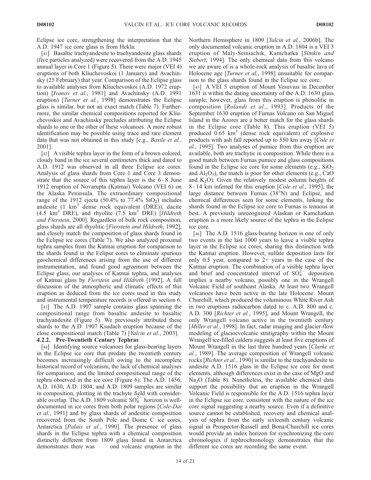Eclipse ice core, strengthening the interpretation that the A.D. 1947 ice core glass is from Hekla.

[41] Basaltic trachyandesite to trachyandesite glass shards (five particles analyzed) were recovered from the A.D. 1945 annual layer in Core 1 (Figure 5). There were major (VEI 4) eruptions of both Kliuchevoskoi (1 January) and Avachinsky (25 February) that year. Comparison of the Eclipse glass to available analyses from Kliuchevoskoi (A.D. 1972 eruption) [Ivanov et al., 1981] and Avachinsky (A.D. 1991 eruption) [Turner et al., 1998] demonstrates the Eclipse glass is similar, but not an exact match (Table 7). Furthermore, the similar chemical compositions reported for Kliuchevoskoi and Avachinsky precludes attributing the Eclipse shards to one or the other of these volcanoes. A more robust identification may be possible using trace and rare element data that was not obtained in this study [e.g., Basile et al., 2001].

[42] A visible tephra layer in the form of a brown colored, cloudy band in the ice several centimeters thick and dated to A.D. 1912 was observed in all three Eclipse ice cores. Analysis of glass shards from Core 1 and Core 3 demonstrate that the source of this tephra layer is the  $6-8$  June 1912 eruption of Novarupta (Katmai) Volcano (VEI 6) on the Alaska Peninsula. The extraordinary compositional range of the 1912 ejecta (50.4% to  $77.4\%$  SiO<sub>2</sub>) includes andesite  $(1 \text{ km}^3)$  dense rock equivalent (DRE)), dacite (4.5  $km^3$  DRE), and rhyolite (7.5  $km^3$  DRE) [Hildreth and Fierstein, 2000]. Regardless of bulk rock composition, glass shards are all rhyolitic [Fierstein and Hildreth, 1992], and closely match the composition of glass shards found in the Eclipse ice cores (Table 7). We also analyzed proximal tephra samples from the Katmai eruption for comparison to the shards found in the Eclipse cores to eliminate spurious geochemical differences arising from the use of different instrumentation, and found good agreement between the Eclipse glass, our analyses of Katmai tephra, and analyses of Katmai glass by Fierstein and Hildreth [1992]. A full discussion of the atmospheric and climatic effects of this eruption as deduced from the ice cores used in this study and instrumental temperature records is offered in section 6.

[43] The A.D. 1907 sample contains glass spanning the compositional range from basaltic andesite to basaltic trachyandesite (Figure 5). We previously attributed these shards to the A.D. 1907 Ksudach eruption because of the close compositional match (Table 7) [Yalcin et al., 2003].

# 4.2.2. Pre-Twentieth Century Tephras

[44] Identifying source volcanoes for glass-bearing layers in the Eclipse ice core that predate the twentieth century becomes increasingly difficult owing to the incomplete historical record of volcanism, the lack of chemical analyses for comparison, and the limited compositional range of the tephra observed in the ice core (Figure 6). The A.D. 1456, A.D. 1630, A.D. 1804, and A.D. 1809 samples are similar in composition, plotting in the trachyte field with considerable overlap. The A.D. 1809 volcanic  $SO_4^{2-}$  horizon is welldocumented in ice cores from both polar regions [Cole-Dai et al., 1991] and by glass shards of andesitic composition recovered from the South Pole and Dome C ice cores, Antarctica [*Palais et al.*, 1990]. The presence of glass shards in the Eclipse tephra with a chemical composition distinctly different from 1809 glass found in Antarctica demonstrates there was ond volcanic eruption in the Northern Hemisphere in 1809 [Yalcin et al., 2006b]. The only documented volcanic eruption in A.D. 1804 is a VEI 3 eruption of Maly-Semiachik, Kamchatka [Simkin and Siebert, 1994]. The only chemical data from this volcano we are aware of is a whole-rock analysis of basaltic lava of Holocene age [*Turner et al.*, 1998] unsuitable for comparison to the glass shards found in the Eclipse ice core.

[45] A VEI 5 eruption of Mount Vesuvius in December 1631 is within the dating uncertainty of the A.D. 1630 glass sample; however, glass from this eruption is phonolitic in composition [Rolandi et al., 1993]. Products of the September 1630 eruption of Furnas Volcano on San Miguel Island in the Azores are a better match for the glass shards in the Eclipse core (Table 8). This eruption (VEI 5) produced  $0.65 \text{ km}^3$  (dense rock equivalent) of explosive products with ash fall reported up to 550 km away [Cole et al., 1995]. Two analyses of pumice from this eruption are available, both are trachytic in composition. While there is a good match between Furnas pumice and glass compositions found in the Eclipse ice core for some elements (e.g.,  $SiO<sub>2</sub>$ ) and  $Al<sub>2</sub>O<sub>3</sub>$ ), the match is poor for other elements (e.g., CaO and  $K_2O$ ). Given the relatively modest column heights of  $8-14$  km inferred for this eruption [*Cole et al.*, 1995], the large distance between Furnas  $(38^{\circ}N)$  and Eclipse, and chemical differences seen for some elements, linking the shards found in the Eclipse ice core to Furnas is tenuous at best. A previously unrecognized Alaskan or Kamchatkan eruption is a more likely source of the tephra in the Eclipse ice core.

[46] The A.D. 1516 glass-bearing horizon is one of only two events in the last 1000 years to leave a visible tephra layer in the Eclipse ice cores, sharing this distinction with the Katmai eruption. However, sulfate deposition lasts for only  $0.5$  year, compared to  $2+$  years in the case of the Katmai eruption. The combination of a visible tephra layer and brief and concentrated interval of  $SO_4^{2-}$  deposition implies a nearby volcano, possibly one in the Wrangell Volcanic Field of southeast Alaska. At least two Wrangell volcanoes have been active in the late Holocene: Mount Churchill, which produced the voluminous White River Ash in two eruptions radiocarbon dated to c. A.D. 800 and c. A.D. 300 [Richter et al., 1995], and Mount Wrangell, the only Wrangell volcano active in the twentieth century [Miller et al., 1998]. In fact, radar imaging and glacier-flow modeling of glaciocvolcanic stratigraphy within the Mount Wrangell ice-filled caldera suggests at least five eruptions of Mount Wrangell in the last three hundred years [Clarke et al., 1989]. The average composition of Wrangell volcanic rocks [Richter et al., 1990] is similar to the trachyandesite to andesite A.D. 1516 glass in the Eclipse ice core for most elements, although differences exist in the case of MgO and Na<sub>2</sub>O (Table 8). Nonetheless, the available chemical data support the possibility that an eruption in the Wrangell Volcanic Field is responsible for the A.D. 1516 tephra layer in the Eclipse ice core, consistent with the nature of the ice core signal suggesting a nearby source. Even if a definitive source cannot be established, recovery and chemical analysis of tephra from the early sixteenth century volcanic signal in Prospector-Russell and Bona-Churchill ice cores would provide an index horizon for synchronizing the core chronologies if tephrochronology demonstrates that the different ice cores are recording the same event.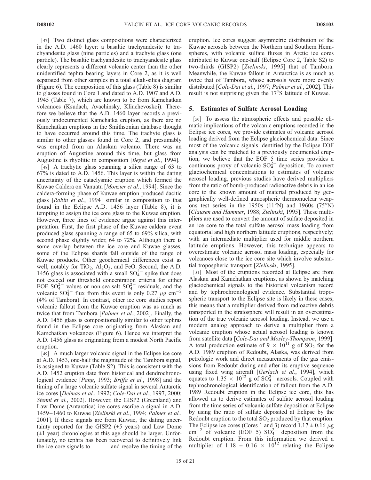[47] Two distinct glass compositions were characterized in the A.D. 1460 layer: a basaltic trachyandesite to trachyandesite glass (nine particles) and a trachyte glass (one particle). The basaltic trachyandesite to trachyandesite glass clearly represents a different volcanic center than the other unidentified tephra bearing layers in Core 2, as it is well separated from other samples in a total alkali-silica diagram (Figure 6). The composition of this glass (Table 8) is similar to glasses found in Core 1 and dated to A.D. 1907 and A.D. 1945 (Table 7), which are known to be from Kamchatkan volcanoes (Ksudach, Avachinsky, Kliuchevoskoi). Therefore we believe that the A.D. 1460 layer records a previously undocumented Kamchatka eruption, as there are no Kamchatkan eruptions in the Smithsonian database thought to have occurred around this time. The trachyte glass is similar to other glasses found in Core 2, and presumably was erupted from an Alaskan volcano. There was an eruption of Augustine around this time, but glass from Augustine is rhyolitic in composition [Beget et al., 1994].

[48] A trachytic glass spanning a silica range of 63 to 67% is dated to A.D. 1456. This layer is within the dating uncertainty of the cataclysmic eruption which formed the Kuwae Caldera on Vanuatu [Monzier et al., 1994]. Since the caldera-forming phase of Kuwae eruption produced dacitic glass [Robin et al., 1994] similar in composition to that found in the Eclipse A.D. 1456 layer (Table 8), it is tempting to assign the ice core glass to the Kuwae eruption. However, three lines of evidence argue against this interpretation. First, the first phase of the Kuwae caldera event produced glass spanning a range of 65 to 69% silica, with second phase slightly wider, 64 to 72%. Although there is some overlap between the ice core and Kuwae glasses, some of the Eclipse shards fall outside of the range of Kuwae products. Other geochemical differences exist as well, notably for  $TiO<sub>2</sub>$ ,  $Al<sub>2</sub>O<sub>3</sub>$ , and FeO. Second, the A.D. 1456 glass is associated with a small  $SO_4^{2-}$  spike that does not exceed our threshold concentration criteria for either EOF SO<sub>4</sub><sup>2</sup> values or non-sea-salt SO<sub>4</sub><sup>2</sup> residuals, and the volcanic  $SO_4^{2-}$  flux from this event is only 0.27  $\mu$ g cm<sup>-2</sup> (4% of Tambora). In contrast, other ice core studies report volcanic fallout from the Kuwae eruption was as much as twice that from Tambora [*Palmer et al.*, 2002]. Finally, the A.D. 1456 glass is compositionally similar to other tephras found in the Eclipse core originating from Alaskan and Kamchatkan volcanoes (Figure 6). Hence we interpret the A.D. 1456 glass as originating from a modest North Pacific eruption.

[49] A much larger volcanic signal in the Eclipse ice core at A.D. 1453, one-half the magnitude of the Tambora signal, is assigned to Kuwae (Table S2). This is consistent with the A.D. 1452 eruption date from historical and dendrochronological evidence [Pang, 1993; Briffa et al., 1998] and the timing of a large volcanic sulfate signal in several Antarctic ice cores [Delmas et al., 1992; Cole-Dai et al., 1997, 2000; Stenni et al., 2002]. However, the GISP2 (Greenland) and Law Dome (Antarctica) ice cores ascribe a signal in A.D. 1459 – 1460 to Kuwae [Zielinski et al., 1994; Palmer et al., 2001]. If these signals are from Kuwae, the dating uncertainty reported for the GISP2  $(\pm 5 \text{ years})$  and Law Dome  $(\pm 1 \text{ year})$  chronologies at this age should be larger. Unfortunately, no tephra has been recovered to definitively link the ice core signals to and resolve the timing of the eruption. Ice cores suggest asymmetric distribution of the Kuwae aerosols between the Northern and Southern Hemispheres, with volcanic sulfate fluxes in Arctic ice cores attributed to Kuwae one-half (Eclipse Core 2, Table S2) to two-thirds (GISP2) [Zielinski, 1995] that of Tambora. Meanwhile, the Kuwae fallout in Antarctica is as much as twice that of Tambora, whose aerosols were more evenly distributed [Cole-Dai et al., 1997; Palmer et al., 2002]. This result is not surprising given the 17°S latitude of Kuwae.

# 5. Estimates of Sulfate Aerosol Loading

[50] To assess the atmospheric effects and possible climatic implications of the volcanic eruptions recorded in the Eclipse ice cores, we provide estimates of volcanic aerosol loading derived from the Eclipse glaciochemical data. Since most of the volcanic signals identified by the Eclipse EOF analysis can be matched to a previously documented eruption, we believe that the EOF 5 time series provides a continuous proxy of volcanic  $SO_4^{2-}$  deposition. To convert glaciochemical concentrations to estimates of volcanic aerosol loading, previous studies have derived multipliers from the ratio of bomb-produced radioactive debris in an ice core to the known amount of material produced by geographically well-defined atmospheric thermonuclear weapons test series in the 1950s  $(11^{\circ}N)$  and 1960s  $(75^{\circ}N)$ [Clausen and Hammer, 1988; Zielinski, 1995]. These multipliers are used to convert the amount of sulfate deposited in an ice core to the total sulfate aerosol mass loading from equatorial and high northern latitude eruptions, respectively; with an intermediate multiplier used for middle northern latitude eruptions. However, this technique appears to overestimate volcanic aerosol mass loading, especially for volcanoes close to the ice core site which involve substantial tropospheric transport [Zielinski, 1995].

[51] Most of the eruptions recorded at Eclipse are from Alaskan and Kamchatkan eruptions, as shown by matching glaciochemical signals to the historical volcanism record and by tephrochronological evidence. Substantial tropospheric transport to the Eclipse site is likely in these cases; this means that a multiplier derived from radioactive debris transported in the stratosphere will result in an overestimation of the true volcanic aerosol loading. Instead, we use a modern analog approach to derive a multiplier from a volcanic eruption whose actual aerosol loading is known from satellite data [Cole-Dai and Mosley-Thompson, 1999]. A total production estimate of  $9 \times 10^{11}$  g of SO<sub>2</sub> for the A.D. 1989 eruption of Redoubt, Alaska, was derived from petrologic work and direct measurements of the gas emissions from Redoubt during and after its eruptive sequence using fixed wing aircraft [Gerlach et al., 1994], which equates to 1.35  $\times$  10<sup>12</sup> g of SO<sub>4</sub><sup>2</sup> aerosols. Coupled with tephrochronological identification of fallout from the A.D. 1989 Redoubt eruption in the Eclipse ice core, this has allowed us to derive estimates of sulfate aerosol loading from the time series of volcanic sulfate deposition at Eclipse by using the ratio of sulfate deposited at Eclipse by the Redoubt eruption to the total  $SO<sub>2</sub>$  produced by that eruption. The Eclipse ice cores (Cores 1 and 3) record  $1.17 \pm 0.16 \,\mu$ g  $\text{cm}^{-2}$  of volcanic (EOF 5)  $\text{SO}_4^{2-}$  deposition from the Redoubt eruption. From this information we derived a multiplier of 1.18  $\pm$  0.16  $\times$  10<sup>12</sup> relating the Eclipse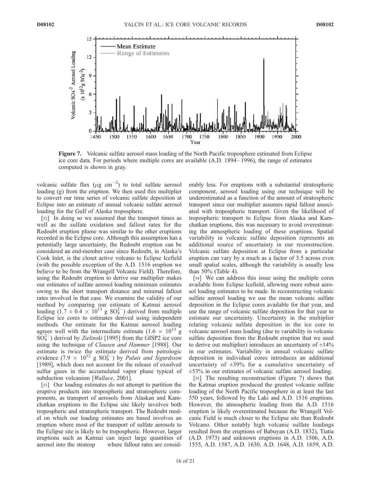

Figure 7. Volcanic sulfate aerosol mass loading of the North Pacific troposphere estimated from Eclipse ice core data. For periods where multiple cores are available (A.D. 1894 – 1996), the range of estimates computed is shown in gray.

volcanic sulfate flux ( $\mu$ g cm<sup>-2</sup>) to total sulfate aerosol loading (g) from the eruption. We then used this multiplier to convert our time series of volcanic sulfate deposition at Eclipse into an estimate of annual volcanic sulfate aerosol loading for the Gulf of Alaska troposphere.

[52] In doing so we assumed that the transport times as well as the sulfate oxidation and fallout rates for the Redoubt eruption plume was similar to the other eruptions recorded in the Eclipse core. Although this assumption has a potentially large uncertainty, the Redoubt eruption can be considered an end-member case since Redoubt, in Alaska's Cook Inlet, is the closet active volcano to Eclipse Icefield (with the possible exception of the A.D. 1516 eruption we believe to be from the Wrangell Volcanic Field). Therefore, using the Redoubt eruption to derive our multiplier makes our estimates of sulfate aerosol loading minimum estimates owing to the short transport distance and minimal fallout rates involved in that case. We examine the validity of our method by comparing our estimate of Katmai aerosol loading  $(1.7 \pm 0.4 \times 10^{13} \text{ g } SO_4^{2-})$  derived from multiple Eclipse ice cores to estimates derived using independent methods. Our estimate for the Katmai aerosol loading agrees well with the intermediate estimate (1.6  $\times$  10<sup>13</sup> g  $\overline{SO_4^{2-}}$ ) derived by Zielinski [1995] from the GISP2 ice core using the technique of Clausen and Hammer [1988]. Our estimate is twice the estimate derived from petrologic evidence (7.9  $\times$  10<sup>12</sup> g SO<sub>4</sub><sup>2</sup>) by *Palais and Sigurdsson* [1989], which does not account for the release of exsolved sulfur gases in the accumulated vapor phase typical of subduction volcanism [*Wallace*, 2001].

[53] Our loading estimates do not attempt to partition the eruptive products into tropospheric and stratospheric components, as transport of aerosols from Alaskan and Kamchatkan eruptions to the Eclipse site likely involves both tropospheric and stratospheric transport. The Redoubt model on which our loading estimates are based involves an eruption where most of the transport of sulfate aerosols to the Eclipse site is likely to be tropospheric. However, larger eruptions such as Katmai can inject large quantities of aerosol into the stratosp where fallout rates are considerably less. For eruptions with a substantial stratospheric component, aerosol loading using our technique will be underestimated as a function of the amount of stratospheric transport since our multiplier assumes rapid fallout associated with tropospheric transport. Given the likelihood of tropospheric transport to Eclipse from Alaska and Kamchatkan eruptions, this was necessary to avoid overestimating the atmospheric loading of these eruptions. Spatial variability in volcanic sulfate deposition represents an additional source of uncertainty in our reconstruction. Volcanic sulfate deposition at Eclipse from a particular eruption can vary by a much as a factor of 3.5 across even small spatial scales, although the variability is usually less than 50% (Table 4).

[54] We can address this issue using the multiple cores available from Eclipse Icefield, allowing more robust aerosol loading estimates to be made. In reconstructing volcanic sulfate aerosol loading we use the mean volcanic sulfate deposition in the Eclipse cores available for that year, and use the range of volcanic sulfate deposition for that year to estimate our uncertainty. Uncertainty in the multiplier relating volcanic sulfate deposition in the ice core to volcanic aerosol mass loading (due to variability in volcanic sulfate deposition from the Redoubt eruption that we used to derive out multiplier) introduces an uncertainty of  $\pm 14\%$ in our estimates. Variability in annual volcanic sulfate deposition in individual cores introduces an additional uncertainty of  $\pm 39\%$  for a cumulative uncertainty of ±53% in our estimates of volcanic sulfate aerosol loading.

[55] The resulting reconstruction (Figure 7) shows that the Katmai eruption produced the greatest volcanic sulfate loading of the North Pacific troposphere in at least the last 550 years, followed by the Laki and A.D. 1516 eruptions. However, the atmospheric loading from the A.D. 1516 eruption is likely overestimated because the Wrangell Volcanic Field is much closer to the Eclipse site than Redoubt Volcano. Other notably high volcanic sulfate loadings resulted from the eruptions of Babuyan (A.D. 1832), Tiatia (A.D. 1973) and unknown eruptions in A.D. 1506, A.D. 1555, A.D. 1587, A.D. 1630, A.D. 1648, A.D. 1659, A.D.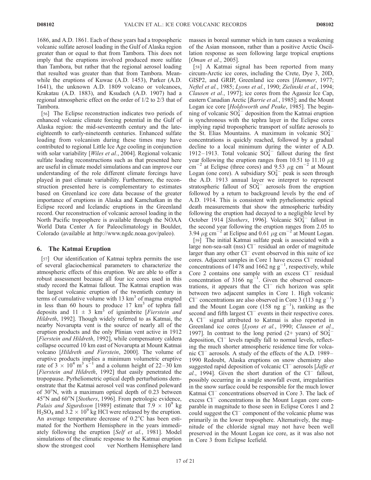1686, and A.D. 1861. Each of these years had a tropospheric volcanic sulfate aerosol loading in the Gulf of Alaska region greater than or equal to that from Tambora. This does not imply that the eruptions involved produced more sulfate than Tambora, but rather that the regional aerosol loading that resulted was greater than that from Tambora. Meanwhile the eruptions of Kuwae (A.D. 1453), Parker (A.D. 1641), the unknown A.D. 1809 volcano or volcanoes, Krakatau (A.D. 1883), and Ksudach (A.D. 1907) had a regional atmospheric effect on the order of 1/2 to 2/3 that of Tambora.

[56] The Eclipse reconstruction indicates two periods of enhanced volcanic climate forcing potential in the Gulf of Alaska region: the mid-seventeenth century and the lateeighteenth to early-nineteenth centuries. Enhanced sulfate loading from volcanism during these times may have contributed to regional Little Ice Age cooling in conjunction with solar variability [Wiles et al., 2004]. Regional volcanic sulfate loading reconstructions such as that presented here are useful in climate model simulations and can improve our understanding of the role different climate forcings have played in past climate variability. Furthermore, the reconstruction presented here is complementary to estimates based on Greenland ice core data because of the greater importance of eruptions in Alaska and Kamchatkan in the Eclipse record and Icelandic eruptions in the Greenland record. Our reconstruction of volcanic aerosol loading in the North Pacific troposphere is available through the NOAA World Data Center A for Paleoclimatology in Boulder, Colorado (available at http://www.ngdc.noaa.gov/paleo).

# 6. The Katmai Eruption

[57] Our identification of Katmai tephra permits the use of several glaciochemical parameters to characterize the atmospheric effects of this eruption. We are able to offer a robust assessment because all four ice cores used in this study record the Katmai fallout. The Katmai eruption was the largest volcanic eruption of the twentieth century in terms of cumulative volume with  $13 \text{ km}^3$  of magma erupted in less than 60 hours to produce  $17 \text{ km}^3$  of tephra fall deposits and  $11 \pm 3$  km<sup>3</sup> of ignimbrite [Fierstein and Hildreth, 1992]. Though widely referred to as Katmai, the nearby Novarupta vent is the source of nearly all of the eruption products and the only Plinian vent active in 1912 [Fierstein and Hildreth, 1992], while compensatory caldera collapse occurred 10 km east of Novarupta at Mount Katmai volcano [Hildreth and Fierstein, 2000]. The volume of eruptive products implies a minimum volumetric eruptive rate of  $3 \times 10^4$  m<sup>3</sup> s<sup>-1</sup> and a column height of 22–30 km [Fierstein and Hildreth, 1992] that easily penetrated the tropopause. Pyrheliometric optical depth perturbations demonstrate that the Katmai aerosol veil was confined poleward of  $30^{\circ}$ N, with a maximum optical depth of 0.23 between 45°N and 60°N [Stothers, 1996]. From petrologic evidence, *Palais and Sigurdsson* [1989] estimate that  $7.9 \times 10^9$  kg  $H_2SO_4$  and 3.2  $\times$  10<sup>9</sup> kg HCl were released by the eruption. An average temperature decrease of  $0.2^{\circ}$ C has been estimated for the Northern Hemisphere in the years immediately following the eruption [Self et al., 1981]. Model simulations of the climatic response to the Katmai eruption show the strongest cool ver Northern Hemisphere land

masses in boreal summer which in turn causes a weakening of the Asian monsoon, rather than a positive Arctic Oscillation response as seen following large tropical eruptions [*Oman et al.*, 2005].

[58] A Katmai signal has been reported from many circum-Arctic ice cores, including the Crete, Dye 3, 20D, GISP2, and GRIP, Greenland ice cores [Hammer, 1977; Neftel et al., 1985; Lyons et al., 1990; Zielinski et al., 1994; Clausen et al., 1997]; ice cores from the Agassiz Ice Cap, eastern Canadian Arctic [Barrie et al., 1985]; and the Mount Logan ice core [*Holdsworth and Peake*, 1985]. The beginning of volcanic  $SO_4^{2-}$  deposition from the Katmai eruption is synchronous with the tephra layer in the Eclipse cores implying rapid tropospheric transport of sulfate aerosols to the St. Elias Mountains. A maximum in volcanic  $SO_4^{2-}$ concentrations is quickly reached, followed by a gradual decline to a local minimum during the winter of A.D. 1912–1913. Total volcanic  $SO_4^{2-}$  fallout during the first year following the eruption ranges from 10.51 to 11.10  $\mu$ g  $\text{cm}^{-2}$  at Eclipse (three cores) and 9.53  $\mu$ g cm<sup>-2</sup> at Mount Logan (one core). A subsidiary  $SO_4^{2-}$  peak is seen through the A.D. 1913 annual layer we interpret to represent stratospheric fallout of  $SO_4^{2-}$  aerosols from the eruption followed by a return to background levels by the end of A.D. 1914. This is consistent with pyrheliometric optical death measurements that show the atmospheric turbidity following the eruption had decayed to a negligible level by October 1914 [Stothers, 1996]. Volcanic  $\overline{SO_4^{2-}}$  fallout in the second year following the eruption ranges from 2.05 to 3.94  $\mu$ g cm<sup>-2</sup> at Eclipse and 0.61  $\mu$ g cm<sup>-2</sup> at Mount Logan.

[59] The initial Katmai sulfate peak is associated with a large non-sea-salt (nss)  $Cl^-$  residual an order of magnitude larger than any other  $Cl^-$  event observed in this suite of ice cores. Adjacent samples in Core 1 have excess Cl<sup>-</sup> residual concentrations of 1478 and 1662 ng  $g^{-1}$ , respectively, while Core 2 contains one sample with an excess  $Cl^-$  residual concentration of 3166  $ng^{-1}$ . Given the observed concentrations, it appears that the Cl<sup>-</sup> rich horizon was split between two adjacent samples in Core 1. High volcanic Cl<sup>-</sup> concentrations are also observed in Core 3 (113 ng  $g^{-1}$ ) and the Mount Logan core (158 ng  $g^{-1}$ ), ranking as the second and fifth largest Cl<sup>-</sup> events in their respective cores. A Cl<sup>-</sup> signal attributed to Katmai is also reported in Greenland ice cores [Lyons et al., 1990; Clausen et al., 1997]. In contrast to the long period  $(2+)$  years) of  $SO_4^{2-}$ deposition, Cl<sup>-</sup> levels rapidly fall to normal levels, reflecting the much shorter atmospheric residence time for volcanic Cl<sup>-</sup> aerosols. A study of the effects of the A.D. 1989– 1990 Redoubt, Alaska eruptions on snow chemistry also suggested rapid deposition of volcanic Cl<sup>-</sup> aerosols [*Jaffe et* al., 1994]. Given the short duration of the  $Cl^-$  fallout, possibly occurring in a single snowfall event, irregularities in the snow surface could be responsible for the much lower Katmai Cl<sup>-</sup> concentrations observed in Core 3. The lack of excess Cl<sup>-</sup> concentrations in the Mount Logan core comparable in magnitude to those seen in Eclipse Cores 1 and 2 could suggest the  $Cl^-$  component of the volcanic plume was primarily in the lower troposphere. Alternatively, the magnitude of the chloride signal may not have been well preserved in the Mount Logan ice core, as it was also not in Core 3 from Eclipse Icefield.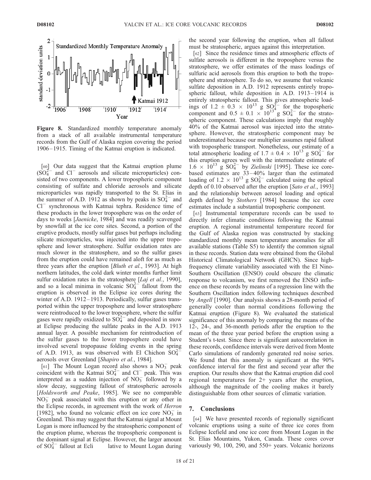

Figure 8. Standardized monthly temperature anomaly from a stack of all available instrumental temperature records from the Gulf of Alaska region covering the period 1906 – 1915. Timing of the Katmai eruption is indicated.

 $\begin{bmatrix} 60 \end{bmatrix}$  Our data suggest that the Katmai eruption plume  $(SO_4^{2-}$  and Cl<sup>-</sup> aerosols and silicate microparticles) consisted of two components. A lower tropospheric component consisting of sulfate and chloride aerosols and silicate microparticles was rapidly transported to the St. Elias in the summer of A.D. 1912 as shown by peaks in  $SO_4^{2-}$  and Cl<sup>-</sup> synchronous with Katmai tephra. Residence time of these products in the lower troposphere was on the order of days to weeks [Jaenicke, 1984] and was readily scavenged by snowfall at the ice core sites. Second, a portion of the eruptive products, mostly sulfur gases but perhaps including silicate microparticles, was injected into the upper troposphere and lower stratosphere. Sulfur oxidation rates are much slower in the stratosphere, and so the sulfur gases from the eruption could have remained aloft for as much as three years after the eruption [Bluth et al., 1993]. At high northern latitudes, the cold dark winter months further limit sulfur oxidation rates in the stratosphere  $[Laj et al., 1990]$ , and so a local minima in volcanic  $SO_4^{2-}$  fallout from the eruption is observed in the Eclipse ice cores during the winter of A.D. 1912–1913. Periodically, sulfur gases transported within the upper troposphere and lower stratosphere were reintroduced to the lower troposphere, where the sulfur gases were rapidly oxidized to  $SO_4^{2-}$  and deposited in snow at Eclipse producing the sulfate peaks in the A.D. 1913 annual layer. A possible mechanism for reintroduction of the sulfur gases to the lower troposphere could have involved several tropopause folding events in the spring of A.D. 1913, as was observed with El Chichon  $SO_4^2$ aerosols over Greenland [Shapiro et al., 1984].

[61] The Mount Logan record also shows a  $NO_3^-$  peak coincident with the Katmai  $SO_4^{2-}$  and  $Cl^-$  peak. This was interpreted as a sudden injection of  $NO<sub>3</sub><sup>-</sup>$  followed by a slow decay, suggesting fallout of stratospheric aerosols [Holdsworth and Peake, 1985]. We see no comparable  $NO<sub>3</sub><sup>-</sup>$  peak associated with this eruption or any other in the Eclipse records, in agreement with the work of Herron [1982], who found no volcanic effect on ice core  $NO<sub>3</sub>^-$  in Greenland. This may suggest that the Katmai signal at Mount Logan is more influenced by the stratospheric component of the eruption plume, whereas the tropospheric component is the dominant signal at Eclipse. However, the larger amount of  $SO_4^{2-}$ lative to Mount Logan during

the second year following the eruption, when all fallout must be stratospheric, argues against this interpretation.

[62] Since the residence times and atmospheric effects of sulfate aerosols is different in the troposphere versus the stratosphere, we offer estimates of the mass loadings of sulfuric acid aerosols from this eruption to both the troposphere and stratosphere. To do so, we assume that volcanic sulfate deposition in A.D. 1912 represents entirely tropospheric fallout, while deposition in A.D. 1913–1914 is entirely stratospheric fallout. This gives atmospheric loadings of 1.2  $\pm$  0.3  $\times$  10<sup>13</sup> g SO<sub>4</sub><sup>2</sup> for the tropospheric component and  $0.5 \pm 0.1 \times 10^{13}$  g SO<sub>4</sub><sup>2</sup> for the stratospheric component. These calculations imply that roughly 40% of the Katmai aerosol was injected into the stratosphere. However, the stratospheric component may be underestimated because our multiplier assumes rapid fallout with tropospheric transport. Nonetheless, our estimate of a total atmospheric loading of 1.7  $\pm$  0.4  $\times$  10<sup>13</sup> g SO<sub>4</sub><sup>2</sup> for this eruption agrees well with the intermediate estimate of  $1.6 \times 10^{13}$  g  $SO_4^{2-}$  by *Zielinski* [1995]. These ice corebased estimates are 33 – 40% larger than the estimated loading of 1.2  $\times$  10<sup>13</sup> g SO<sub>4</sub><sup>2</sup> calculated using the optical depth of 0.10 observed after the eruption [Sato et al., 1993] and the relationship between aerosol loading and optical depth defined by Stothers [1984] because the ice core estimates include a substantial tropospheric component.

[63] Instrumental temperature records can be used to directly infer climatic conditions following the Katmai eruption. A regional instrumental temperature record for the Gulf of Alaska region was constructed by stacking standardized monthly mean temperature anomalies for all available stations (Table S5) to identify the common signal in these records. Station data were obtained from the Global Historical Climatological Network (GHCN). Since highfrequency climate variability associated with the El Nino-Southern Oscillation (ENSO) could obscure the climatic response to volcanism, we first removed the ENSO influence on these records by means of a regression line with the Southern Oscillation index following techniques described by Angell [1990]. Our analysis shows a 28-month period of generally cooler than normal conditions following the Katmai eruption (Figure 8). We evaluated the statistical significance of this anomaly by comparing the means of the 12-, 24-, and 36-month periods after the eruption to the mean of the three year period before the eruption using a Student's t-test. Since there is significant autocorrelation in these records, confidence intervals were derived from Monte Carlo simulations of randomly generated red noise series. We found that this anomaly is significant at the 90% confidence interval for the first and second year after the eruption. Our results show that the Katmai eruption did cool regional temperatures for 2+ years after the eruption, although the magnitude of the cooling makes it barely distinguishable from other sources of climatic variation.

#### 7. Conclusions

[64] We have presented records of regionally significant volcanic eruptions using a suite of three ice cores from Eclipse Icefield and one ice core from Mount Logan in the St. Elias Mountains, Yukon, Canada. These cores cover variously 90, 100, 290, and 550+ years. Volcanic horizons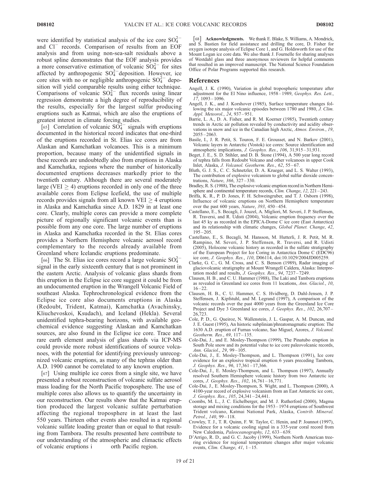were identified by statistical analysis of the ice core  $SO_4^{2-}$ and Cl<sup>-</sup> records. Comparison of results from an EOF analysis and from using non-sea-salt residuals above a robust spline demonstrates that the EOF analysis provides a more conservative estimation of volcanic  $SO_4^{2-}$  for sites affected by anthropogenic  $SO_4^{2-}$  deposition. However, ice core sites with no or negligible anthropogenic  $SO_4^{2-}$  deposition will yield comparable results using either technique. Comparisons of volcanic  $SO_4^{2-}$  flux records using linear regression demonstrate a high degree of reproducibility of the results, especially for the largest sulfur producing eruptions such as Katmai, which are also the eruptions of greatest interest in climate forcing studies.

[65] Correlation of volcanic  $SO_4^{2-}$  signals with eruptions documented in the historical record indicates that one-third of the eruptions recorded in St. Elias ice cores are from Alaskan and Kamchatkan volcanoes. This is a minimum proportion, because many of the unidentified signals in these records are undoubtedly also from eruptions in Alaska and Kamchatka, regions where the number of historically documented eruptions decreases markedly prior to the twentieth century. Although there are several moderately large (VEI  $\geq$  4) eruptions recorded in only one of the three available cores from Eclipse Icefield, the use of multiple records provides signals from all known VEI  $\geq$  4 eruptions in Alaska and Kamchatka since A.D. 1829 in at least one core. Clearly, multiple cores can provide a more complete picture of regionally significant volcanic events than is possible from any one core. The large number of eruptions in Alaska and Kamchatka recorded in the St. Elias cores provides a Northern Hemisphere volcanic aerosol record complementary to the records already available from Greenland where Icelandic eruptions predominate.

[66] The St. Elias ice cores record a large volcanic  $SO_4^{2-}$ signal in the early sixteenth century that is not prominent in the eastern Arctic. Analysis of volcanic glass shards from this eruption in the Eclipse ice core suggest it could be from an undocumented eruption in the Wrangell Volcanic Field of southeast Alaska. Tephrochronological evidence from the Eclipse ice core also documents eruptions in Alaska (Redoubt, Trident, Katmai), Kamchatka (Avachinsky, Kliuchevoskoi, Ksudach), and Iceland (Hekla). Several unidentified tephra-bearing horizons, with available geochemical evidence suggesting Alaskan and Kamchatkan sources, are also found in the Eclipse ice core. Trace and rare earth element analysis of glass shards via ICP-MS could provide more robust identifications of source volcanoes, with the potential for identifying previously unrecognized volcanic eruptions, as many of the tephras older than A.D. 1900 cannot be correlated to any known eruption.

[67] Using multiple ice cores from a single site, we have presented a robust reconstruction of volcanic sulfate aerosol mass loading for the North Pacific troposphere. The use of multiple cores also allows us to quantify the uncertainty in our reconstruction. Our results show that the Katmai eruption produced the largest volcanic sulfate perturbation affecting the regional troposphere in at least the last 550 years. Thirteen other events also resulted in a regional volcanic sulfate loading greater than or equal to that resulting from Tambora. The results presented here contribute to our understanding of the atmospheric and climactic effects of volcanic eruptions i orth Pacific region.

[68] Acknowledgments. We thank E. Blake, S. Williams, A. Mondrick, and S. Bastien for field assistance and drilling the core, D. Fisher for oxygen isotope analysis of Eclipse Core 1, and G. Holdsworth for use of the Mount Logan ice core data. We also thank J. Fournelle for sharing analyses of Westdahl glass and three anonymous reviewers for helpful comments that resulted in an improved manuscript. The National Science Foundation Office of Polar Programs supported this research.

#### References

- Angell, J. K. (1990), Variation in global tropospheric temperature after adjustment for the El Nino influence, 1958 – 1989, Geophys. Res. Lett.,  $17, 1093 - 1096$
- Angell, J. K., and J. Korshover (1985), Surface temperature changes following the six major volcanic episodes between 1780 and 1980, J. Clim. Appl. Meteorol., 24, 937 – 951.
- Barrie, L. A., D. A. Fisher, and R. M. Koerner (1985), Twentieth century trends in Arctic air pollution revealed by conductivity and acidity observations in snow and ice in the Canadian high Arctic, Atmos. Environ., 19,  $2055 - 2063$ .
- Basile, I., J. R. Petit, S. Touron, F. E. Grousset, and N. Barkov (2001), Volcanic layers in Antarctic (Vostok) ice cores: Source identification and atmospheric implications, J. Geophys. Res., 106, 31,915 – 31,931.
- Beget, J. E., S. D. Stihler, and D. B. Stone (1994), A 500 year long record of tephra falls from Redoubt Volcano and other volcanoes in upper Cook Inlet, Alaska, J. Volcanol. Geotherm. Res., 62, 55-67.
- Bluth, G. J. S., C. C. Schnetzler, D. A. Krueger, and L. S. Walter (1993), The contribution of explosive volcanism to global sulfur dioxide concentrations, Nature, 366, 327 – 330.
- Bradley, R. S. (1988), The explosive volcanic eruption record in Northern Hemisphere and continental temperature records, *Clim. Change*, 12, 221-243.
- Briffa, K. R., P. D. Jones, F. H. Schweingruber, and T. J. Osborn (1998), Influence of volcanic eruptions on Northern Hemisphere temperature over the past 600 years,  $\hat{N}$ ature, 393, 450–454.
- Castellano, E., S. Becagli, J. Jouzel, A. Migliori, M. Severi, J. P. Steffensen, R. Traversi, and R. Udisti (2004), Volcanic eruption frequency over the last 45 ky as recorded in the EPICA-Dome C ice core (East Antarctica) and its relationship with climatic changes, Global Planet. Change, 42,  $195 - 205$
- Castellano, E., S. Becagli, M. Hansson, M. Hutterli, J. R. Petit, M. R. Rampino, M. Severi, J. P. Steffensen, R. Traversi, and R. Udisti (2005), Holocene volcanic history as recorded in the sulfate stratigraphy of the European Project for Ice Coring in Antarctica Dome C (EDC96) ice core, J. Geophys. Res., 110, D06114, doi:10.1029/2004JD005259.
- Clarke, G. C., G. M. Cross, and C. S. Benson (1989), Radar imaging of glaciovolcanic stratigraphy at Mount Wrangell Caldera, Alaska: Interpretation model and results, J. Geophys. Res., 94, 7237 – 7249.
- Clausen, H. B., and C. U. Hammer (1988), The Laki and Tambora eruptions as revealed in Greenland ice cores from 11 locations, Ann. Glaciol., 10,  $16 - 22.$
- Clausen, H. B., C. U. Hammer, C. S. Hvidberg, D. Dahl-Jensen, J. P. Steffensen, J. Kipfstuhl, and M. Legrand (1997), A comparison of the volcanic records over the past 4000 years from the Greenland Ice Core Project and Dye 3 Greenland ice cores, J. Geophys. Res., 102, 26,707-26,723.
- Cole, P. D., G. Queiroz, N. Wallenstein, J. L. Gaspar, A. M. Duncan, and J. E. Guest (1995), An historic subplinian/phreatomagmatic eruption: The 1630 A.D. eruption of Furnas volcano, Sao Miguel, Azores, J. Volcanol. Geotherm. Res., 69, 117-135.
- Cole-Dai, J., and E. Mosley-Thompson (1999), The Pinatubo eruption in South Pole snow and its potential value to ice core paleovolcanic records, Ann. Glaciol., 29, 99-105.
- Cole-Dai, J., E. Mosley-Thompson, and L. Thompson (1991), Ice core evidence for an explosive tropical eruption 6 years preceding Tambora, J. Geophys. Res., 96, 17,361-17,366.
- Cole-Dai, J., E. Mosley-Thompson, and L. Thompson (1997), Annually resolved Southern Hemisphere volcanic history from two Antarctic ice cores, *J. Geophys. Res.*,  $102$ ,  $16,761 - 16,771$ .
- Cole-Dai, J., E. Mosley-Thompson, S. Wight, and L. Thompson (2000), A 4100-year record of explosive volcanism from an East Antarctic ice core, J. Geophys. Res., 105, 24,341 – 24,441.
- Coombs, M. L., J. C. Eichelberger, and M. J. Rutherford (2000), Magma storage and mixing conditions for the 1953 – 1974 eruptions of Southwest Trident volcano, Katmai National Park, Alaska, Contrib. Mineral. Petrol., 140, 99-118.
- Crowley, T. J., T. R. Quinn, F. W. Taylor, C. Henin, and P. Joannot (1997), Evidence for a volcanic cooling signal in a 335-year coral record from New Caledonia, Paleoceanography, 12, 633-639.
- D'Arrigo, R. D., and G. C. Jacoby (1999), Northern North American treering evidence for regional temperature changes after major volcanic events, Clim. Change,  $41$ ,  $1 - 15$ .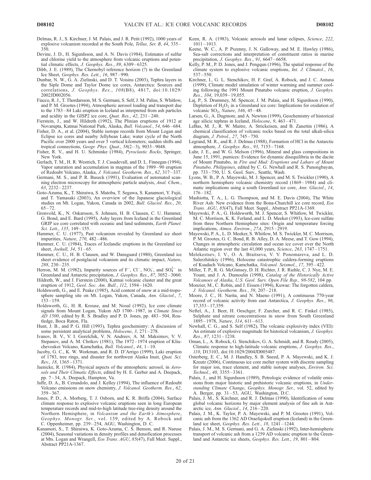- Delmas, R. J., S. Kirchner, J. M. Palais, and J. R. Petit (1992), 1000 years of explosive volcanism recorded at the South Pole, Tellus, Ser. B, 44, 335 – 350.
- Devine, J. D., H. Sigurdsson, and A. N. Davis (1984), Estimates of sulfur and chlorine yield to the atmosphere from volcanic eruptions and potential climatic effects, J. Geophys. Res., 89, 6309-6325.
- Dibb, J. E. (1989), The Chernobyl reference horizon (?) in the Greenland Ice Sheet, Geophys. Res. Lett., 16, 987 – 990.
- Dunbar, N. W., G. A. Zielinski, and D. T. Voisins (2003), Tephra layers in the Siple Dome and Taylor Dome ice cores, Antarctica: Sources and correlations, J. Geophys. Res., 108(B8), 4817, doi:10.1029/ 2002JD002056.
- Fiacco, R. J., T. Thordarsson, M. S. Germani, S. Self, J. M. Palias, S. Whitlow, and P. M. Grootes (1994), Atmospheric aerosol loading and transport due to the 1783 – 84 Laki eruption in Iceland as interpreted from ash particles and acidity in the GISP2 ice core, Quat. Res., 42, 231-240.
- Fierstein, J., and W. Hildreth (1992), The Plinian eruptions of 1912 at Novarupta, Katmai National Park, Alaska, Bull. Volcanol., 54, 646 – 684.
- Fisher, D. A., et al. (2004), Stable isotope records from Mount Logan and Eclipse ice cores and nearby Jellybean Lake; water cycle of the North Pacific over 2000 years and over 5 vertical kilometers; sudden shifts and tropical connections, Geogr. Phys. Quat., 58(2-3), 9033-9048.
- Fisher, R. V., and H. U. Schminke (1984), Pyroclastic Rocks, Springer, New York.
- Gerlach, T. M., H. R. Westrich, T. J. Casadevall, and D. L. Finnegan (1994), Vapor saturation and accumulation in magmas of the 1989 – 90 eruption of Redoubt Volcano, Alaska, J. Volcanol. Geotherm. Res., 62, 317-337.
- Germani, M. S., and P. R. Buseck (1991), Evaluation of automated scanning electron microscopy for atmospheric particle analysis, Anal. Chem., 63, 2232 – 2237.
- Goto-Azuma, K., T. Shiraiwa, S. Matoba, T. Segawa, S. Kanamori, Y. Fujii, and T. Yamasaki (2003), An overview of the Japanese glaciological studies on Mt. Logan, Yukon, Canada in 2002, Bull. Glaciol. Res., 20,  $65 - 72$
- Gronvold, K., N. Oskarsson, S. Johnsen, H. B. Clausen, C. U. Hammer, G. Bond, and E. Bard (1995), Ashy layers from Iceland in the Greenland GRIP ice core correlated with oceanic and land sediments, Earth Planet. Sci. Lett., 135, 149-155.
- Hammer, C. U. (1977), Past volcanism revealed by Greenland ice sheet impurities, Nature, 270, 482 – 486.
- Hammer, C. U. (1984), Traces of Icelandic eruptions in the Greenland ice sheet, *Joekull*, 34, 51-65.
- Hammer, C. U., H. B. Clausen, and W. Dansgaard (1980), Greenland ice sheet evidence of postglacial volcanism and its climatic impact, Nature, 288, 230 – 235.
- Herron, M. M. (1982), Impurity sources of  $F^-$ ,  $Cl^-$ ,  $NO_3^-$ , and  $SO_4^{2-}$  in Greenland and Antarctic precipitation, J. Geophys. Res., 87, 3052 – 3060.
- Hildreth, W., and J. Fierstein (2000), Katmai volcanic cluster and the great eruption of 1912, Geol. Soc. Am. Bull., 112, 1594-1620.
- Holdsworth, G., and E. Peake (1985), Acid content of snow at a mid-troposphere sampling site on Mt. Logan, Yukon, Canada, Ann. Glaciol., 7,  $153 - 159.$
- Holdsworth, G., H. R. Krouse, and M. Nosal (1992), Ice core climate signals from Mount Logan, Yukon AD 1700-1987, in Climate Since AD 1500, edited by R. S. Bradley and P. D. Jones, pp. 483-504, Routledge, Boca Raton, Fla.
- Hunt, J. B., and P. G. Hill (1993), Tephra geochemistry: A discussion of some persistent analytical problems, Holocene, 3, 271-278.
- Ivanov, B. V., V. I. Gorelchik, V. N. Andreev, A. M. Maksimov, V. V. Stepanov, and A. M. Chrikov (1981), The 1972-1974 eruption of Kliuchevoskoi Volcano, Kamchatka, Bull. Volcanol., 44, 1 – 10.
- Jacoby, G. C., K. W. Workman, and R. D. D'Arrigo (1999), Laki eruption of 1783, tree rings, and disaster for northwest Alaska Inuit, Quat. Sci. Rev., 18, 1365 – 1371.
- Jaenicke, R. (1984), Physical aspects of the atmospheric aerosol, in Aerosols and Their Climatic Effects, edited by H. E. Gerber and A. Deepack, pp. 7 – 34, A. Deepack, Hampton, Va.
- Jaffe, D. A., B. Cerundolo, and J. Kelley (1994), The influence of Redoubt Volcano emissions on snow chemistry, J. Volcanol. Geotherm. Res., 62,  $359 - 367$ .
- Jones, P. D., A. Morberg, T. J. Osborn, and K. R. Briffa (2004), Surface climate response to explosive volcanic eruptions seen in long European temperature records and mid-to-high latitude tree-ring density around the Northern Hemisphere, in Volcanism and the Earth's Atmosphere, Geophys. Monogr. Ser., vol. 139, edited by A. Robock and C. Oppenheimer, pp. 239 – 254, AGU, Washington, D. C.
- Kanamori, S., T. Shiraiwa, K. Goto-Azuma, C. S. Benson, and R. Naruse (2004), Seasonal variations in density profiles and densification processes at Mts. Logan and Wrangell, Eos Trans. AGU, 85(47), Fall Meet. Suppl., Abstract PP21A-1367.
- Keen, R. A. (1983), Volcanic aerosols and lunar eclipses, Science, 222,  $1011 - 1013.$
- Keene, W. C., A. P. Pszenny, J. N. Galloway, and M. E. Hawley (1986), Sea-salt corrections and interpretation of constituent ratios in marine precipitation, J. Geophys. Res., 91, 6647-6658.
- Kelly, P. M., P. D. Jones, and J. Pengqun (1996), The spatial response of the climate system to explosive volcanic eruptions, Int. J. Climatol., 16, 537 – 550.
- Kirchner, I., G. L. Stenchikov, H. F. Graf, A. Robock, and J. C. Antuna (1999), Climate model simulation of winter warming and summer cooling following the 1991 Mount Pinatubo volcanic eruption, J. Geophys. Res., 104, 19,039-19,055.
- Laj, P., S. Drummey, M. Spencer, J. M. Palais, and H. Sigurdsson (1990), Depletion of  $H_2O_2$  in a Greenland ice core: Implications for oxidation of volcanic SO<sub>2</sub>, Nature, 346, 45-48.
- Larsen, G., A. Dugmore, and A. Newton (1999), Geochemistry of historical age silicic tephras in Iceland, Holocene, 9, 463 – 471.
- LeBas, M. J., R. W. Maitre, A. Strickeisen, and B. Zanettin (1986), A chemical classification of volcanic rocks based on the total alkali-silica diagram, J. Petrol., 27, 745 – 750.
- Legrand, M. R., and R. J. Delmas (1988), Formation of HCl in the Antarctic atmosphere, J. Geophys. Res., 93, 7153 – 7168.
- Luhr, J. E., and W. G. Melson (1996), Mineral and glass compositions in June 15, 1991, pumices: Evidence for dynamic disequilibria in the dacite of Mount Pinatubo, in Fire and Mud: Eruptions and Lahars of Mount Pinatubo, Philippines, edited by C. G. Newhall and R. S. Punongbayan, pp. 733 – 750, U. S. Geol. Surv., Seattle, Wash.
- Lyons, W. B., P. A. Mayewski, M. J. Spencer, and M. S. Twickler (1990), A northern hemisphere volcanic chemistry record (1869 – 1984) and climatic implications using a south Greenland ice core, Ann. Glaciol., 14,  $176 - 182.$
- Mashiotta, T. A., L. G. Thompson, and M. E. Davis (2004), The White River Ash: New evidence from the Bona-Churchill ice core record, Eos Trans. AGU, 85(47), Fall Meet. Suppl., Abstract PP21A-1369.
- Mayewski, P. A., G. Holdsworth, M. J. Spencer, S. Whitlow, M. Twickler, M. C. Morrison, K. K. Ferland, and L. D. Meeker (1993), Ice-core sulfate from three Northern Hemisphere sites: Origin and temperature forcing implications, Atmos. Environ., 27A, 2915 – 2919.
- Mayewski, P. A., L. D. Meeker, S. Whitlow, M. S. Twickler, M. C. Morrison, P. M. Grootes, G. C. Bond, R. B. Alley, D. A. Meese, and T. Gow (1994), Changes in atmospheric circulation and ocean ice cover over the North Atlantic region over the last 41,000 years, Science, 263, 1747 – 1751.
- Melekestsev, I. V., O. A. Braitseva, V. V. Ponomareva, and L. D. Sulerzhitskiy (1996), Holocene catastrophic caldera-forming eruptions of Ksudach Volcano, Kamchatka, Volcanol. Seismol., 17, 395 – 422.
- Miller, T. P., R. G. McGimsey, D. H. Richter, J. R. Riehle, C. J. Nye, M. E. Yount, and J. A. Dumoulin (1998), Catalog of the Historically Active Volcanoes of Alaska, U.S. Geol. Surv. Open File Rep., 98-582, 104 pp.
- Monzier, M., C. Robin, and J. Eissen (1994), Kuwae: The forgotten caldera, J. Volcanol. Geotherm. Res., 59, 207-218.
- Moore, J. C., H. Narita, and N. Maeno (1991), A continuous 770-year record of volcanic activity from east Antarctica, J. Geophys. Res., 96, 17,353 – 17,359.
- Neftel, A., J. Beer, H. Oeschger, F. Zurcher, and R. C. Finkel (1985), Sulphate and nitrate concentrations in snow from South Greenland 1895-1978, Nature, 314, 611-613.
- Newhall, C. G., and S. Self (1982), The volcanic explosivity index (VEI): An estimate of explosive magnitude for historical volcanism, J. Geophys. Res., 87, 1231 – 1238.
- Oman, L., A. Robock, G. Stenchikov, G. A. Schmidt, and R. Reudy (2005), Climatic response to high-latitude volcanic eruptions, J. Geophys. Res., 110, D13103, doi:10.1029/2004JD005487.
- Osterberg, E. C., M. J. Handley, S. B. Sneed, P. A. Mayewski, and K. J. Kreutz (2006), Continuous ice core melter system with discrete sampling for major ion, trace element, and stable isotope analyses, Environ. Sci. Technol., 40, 3355 – 3361.
- Palais, J., and H. Sigurdsson (1989), Petrologic evidence of volatile emissions from major historic and prehistoric volcanic eruptions, in Understanding Climate Change, Geophys. Monogr. Ser., vol. 52, edited by A. Berger, pp. 31-53, AGU, Washington, D.C.
- Palais, J. M., S. Kirchner, and R. J. Delmas (1990), Identification of some global volcanic horizons by major element analysis of fine ash in Antarctic ice, Ann. Glaciol., 14, 216 – 220.
- Palais, J. M., K. Taylor, P. A. Mayewski, and P. M. Grootes (1991), Volcanic ash from the 1362 AD Oraefajokull eruption (Iceland) in the Greenland ice sheet, Geophys. Res. Lett., 18, 1241-1244.
- Palais, J. M., M. S. Germani, and G. A. Zielinski (1992), Inter-hemispheric transport of volcanic ash from a 1259 AD volcanic eruption to the Greenland and Antarctic ice sheets, Geophys. Res. Lett., 19, 801-804.